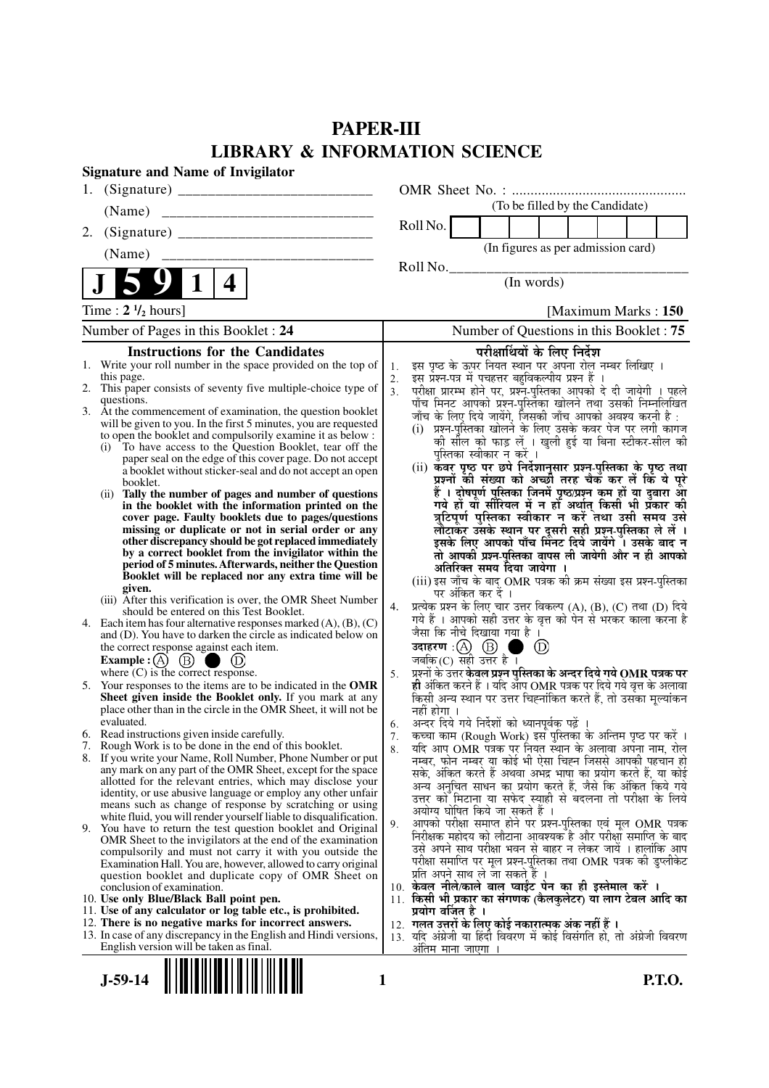# **PAPER-III LIBRARY & INFORMATION SCIENCE**

|    | <b>Signature and Name of Invigilator</b>                                                                                       |            |                                                                                                                                                 |
|----|--------------------------------------------------------------------------------------------------------------------------------|------------|-------------------------------------------------------------------------------------------------------------------------------------------------|
|    |                                                                                                                                |            |                                                                                                                                                 |
|    | (Name)                                                                                                                         |            | (To be filled by the Candidate)                                                                                                                 |
| 2. |                                                                                                                                |            | Roll No.                                                                                                                                        |
|    | (Name)                                                                                                                         |            | (In figures as per admission card)                                                                                                              |
|    |                                                                                                                                |            | Roll No.                                                                                                                                        |
|    | 4                                                                                                                              |            | (In words)                                                                                                                                      |
|    | Time: $2 \frac{1}{2}$ hours]                                                                                                   |            | [Maximum Marks: 150]                                                                                                                            |
|    | Number of Pages in this Booklet: 24                                                                                            |            | Number of Questions in this Booklet: 75                                                                                                         |
|    | <b>Instructions for the Candidates</b>                                                                                         |            | परीक्षार्थियों के लिए निर्देश                                                                                                                   |
|    | 1. Write your roll number in the space provided on the top of                                                                  | 1.         | इस पृष्ठ के ऊपर नियत स्थान पर अपना रोल नम्बर लिखिए ।<br>इस प्रश्न-पत्र में पचहत्तर बहुविकल्पीय प्रश्न हैं ।                                     |
|    | this page.<br>2. This paper consists of seventy five multiple-choice type of                                                   | $2.$<br>3. |                                                                                                                                                 |
|    | questions.                                                                                                                     |            | परीक्षा प्रारम्भ होने पर, प्रश्नॅ-पुस्तिका आपको दे दी जायेगी । पहले<br>पाँच मिनट आपको प्रश्न-पुस्तिका खोलने तथा उसकी निम्नूलिखित                |
|    | 3. At the commencement of examination, the question booklet<br>will be given to you. In the first 5 minutes, you are requested |            | जाँच के लिए दिये जायेंगे, जिसकी जाँच आपको अवश्य करनी है :                                                                                       |
|    | to open the booklet and compulsorily examine it as below :                                                                     |            | (i) प्रश्न-पुरितका खोलने के लिए उसके कवर पेज पर लगी कागज<br>की सील को फाड़ लें । खुली हुई या बिना स्टीकर-सील की                                 |
|    | To have access to the Question Booklet, tear off the<br>(i)<br>paper seal on the edge of this cover page. Do not accept        |            | पुस्तिका स्वीकार न करें ।                                                                                                                       |
|    | a booklet without sticker-seal and do not accept an open                                                                       |            | (ii) कवर पृष्ठ पर छपे निर्देशानुसार प्रश्न-पुस्तिका के पृष्ठ तथा                                                                                |
|    | booklet.<br>Tally the number of pages and number of questions<br>(ii)                                                          |            | प्रश्नों की संख्या को अच्छी तरह चैक कर लें कि ये पूरे<br>हैं । दोषपूर्ण पुस्तिका जिनमें पृष्ठ/प्रश्न कम हों या दुबारा आ                         |
|    | in the booklet with the information printed on the                                                                             |            | गये हों या सीरियल में न हों अर्थात् किसी भी प्रकार की                                                                                           |
|    | cover page. Faulty booklets due to pages/questions<br>missing or duplicate or not in serial order or any                       |            | त्रुटिपूर्ण पुस्तिका स्वीकार न करें तथा उसी समय उसे                                                                                             |
|    | other discrepancy should be got replaced immediately                                                                           |            | लौटाकर उसके स्थान पर दूसरी सही प्रश्न-पुस्तिका ले लें ।<br>इसके लिए आपको पाँच मिनट दिये जायेंगे । उसके बाद न                                    |
|    | by a correct booklet from the invigilator within the<br>period of 5 minutes. Afterwards, neither the Question                  |            | तो आपकी प्रश्न-पुस्तिका वापस ली जायेगी और न ही आपको                                                                                             |
|    | Booklet will be replaced nor any extra time will be                                                                            |            | अतिरिक्त समय दिया जायेगा ।<br>(iii) इस जाँच के बाद OMR पत्रक की क्रम संख्या इस प्रश्न-पुस्तिका                                                  |
|    | given.                                                                                                                         |            | पर अंकित कर दें ।                                                                                                                               |
|    | (iii) After this verification is over, the OMR Sheet Number<br>should be entered on this Test Booklet.                         | 4.         | प्रत्येक प्रश्न के लिए चार उत्तर विकल्प (A), (B), (C) तथा (D) दिये                                                                              |
|    | 4. Each item has four alternative responses marked $(A)$ , $(B)$ , $(C)$                                                       |            | गये हैं । आपको सही उत्तर के वृत्त को पेन से भरकर काला करना है<br>जैसा कि नीचे दिखाया गया है ।                                                   |
|    | and (D). You have to darken the circle as indicated below on<br>the correct response against each item.                        |            | उदाहरण $\,$ : $(A)$ $\,$ $(B)$ $\,$ (<br>$^{\circledR}$                                                                                         |
|    | Example : (A) $(B)$                                                                                                            |            | जबकि $(C)$ सही उत्तर है।                                                                                                                        |
|    | where $(C)$ is the correct response.                                                                                           | 5.         | प्रश्नों के उत्तर <b>केवल प्रश्न पुस्तिका के अन्दर दिये गये OMR पत्रक पर</b><br>ही अंकित करने हैं । यदि आप OMR पत्रक पर दिये गये वृत्त के अलावा |
|    | 5. Your responses to the items are to be indicated in the OMR<br>Sheet given inside the Booklet only. If you mark at any       |            | किसी अन्य स्थान पर उत्तर चिह्नांकित करते हैं, तो उसका मूल्यांकन                                                                                 |
|    | place other than in the circle in the OMR Sheet, it will not be                                                                |            | नहीं होगा ।                                                                                                                                     |
|    | evaluated.<br>6. Read instructions given inside carefully.                                                                     | 6.         | अन्दर दिये गये निर्देशों को ध्यानपूर्वक पढ़ें ।                                                                                                 |
|    | 7. Rough Work is to be done in the end of this booklet.                                                                        | 7.<br>8.   | कच्चा काम (Rough Work) इस पुस्तिका के अन्तिम पृष्ठ पर करें ।<br>यदि आप OMR पत्रक पर नियत स्थान के अलावा अपना नाम, रोल                           |
|    | 8. If you write your Name, Roll Number, Phone Number or put                                                                    |            | नम्बर, फोन नम्बर या कोई भी ऐसा चिह्न जिससे आपकी पहचान हो                                                                                        |
|    | any mark on any part of the OMR Sheet, except for the space<br>allotted for the relevant entries, which may disclose your      |            | सके, अंकित करते हैं अथवा अभद्र भाषा का प्रयोग करते हैं, या कोई<br>अन्य अनुचित साधन का प्रयोग करते हैं, जैसे कि अंकित किये गये                   |
|    | identity, or use abusive language or employ any other unfair                                                                   |            | उत्तर को मिटाना या सफेद स्याही से बदलना तो परीक्षा के लिये                                                                                      |
|    | means such as change of response by scratching or using<br>white fluid, you will render yourself liable to disqualification.   |            | अयोग्य घोषित किये जा सकते हैं ।                                                                                                                 |
|    | 9. You have to return the test question booklet and Original                                                                   | 9.         | आपको परीक्षा समाप्त होने पर प्रश्न-पुस्तिका एवं मूल OMR पत्रक<br>निरीक्षक महोदय को लौटाना आवश्यक है और परीक्षा समाप्ति के बाद                   |
|    | OMR Sheet to the invigilators at the end of the examination<br>compulsorily and must not carry it with you outside the         |            | उसे अपने साथ परीक्षा भवन से बाहर न लेकर जायें । हालांकि आप                                                                                      |
|    | Examination Hall. You are, however, allowed to carry original                                                                  |            | परीक्षा समाप्ति पर मूल प्रश्न्-पुस्तिका तथा OMR पत्रक की डुप्लीकेट                                                                              |
|    | question booklet and duplicate copy of OMR Sheet on                                                                            |            | प्रति अपने साथ ले जा सकते हैं ।<br>10. केवल नीले/काले बाल प्वाईंट पेन का ही इस्तेमाल करें ।                                                     |
|    | conclusion of examination.<br>10. Use only Blue/Black Ball point pen.                                                          |            | 11. किसी भी प्रकार का संगणक (कैलकुलेटर) या लाग टेबल आदि का                                                                                      |
|    | 11. Use of any calculator or log table etc., is prohibited.                                                                    |            | प्रयोग वर्जित है ।                                                                                                                              |
|    | 12. There is no negative marks for incorrect answers.<br>13. In case of any discrepancy in the English and Hindi versions,     |            | 12.  गलत उत्तरों के लिए कोई नकारात्मक अंक नहीं हैं ।<br>13. यदि अंग्रेजी या हिंदी विवरण में कोई विसंगति हो, तो अंग्रेजी विवरण                   |
|    | English version will be taken as final.                                                                                        |            | अंतिम माना जाएगा                                                                                                                                |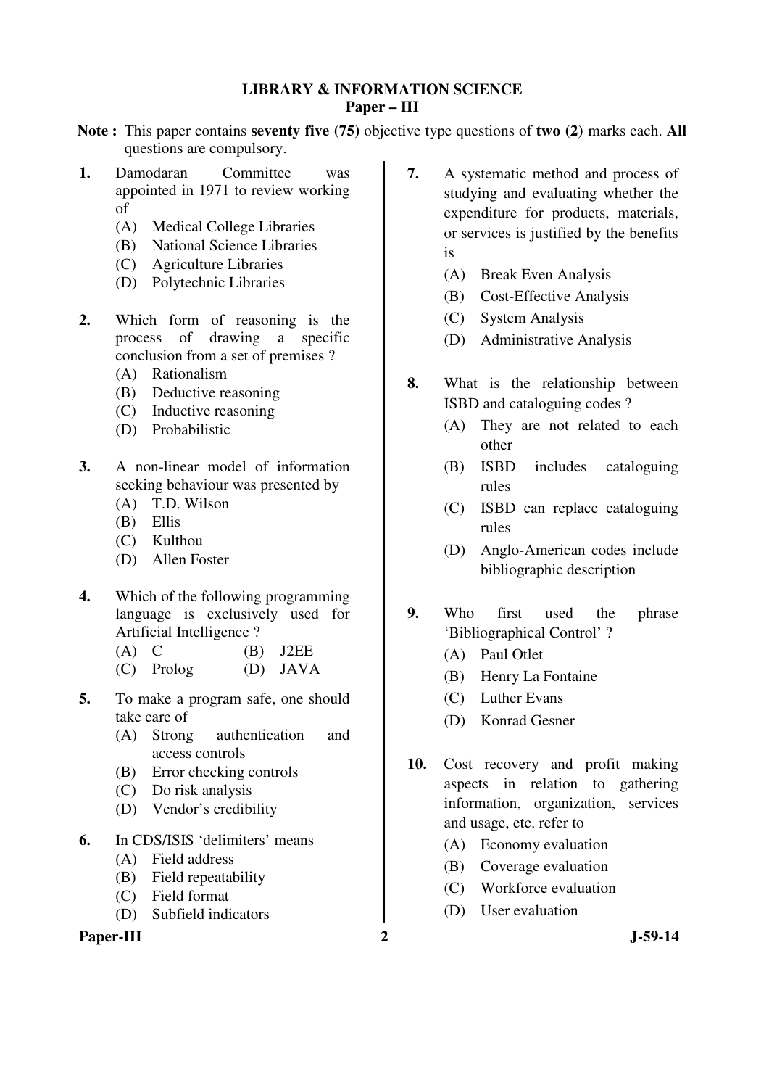## **LIBRARY & INFORMATION SCIENCE Paper – III**

- **Note :** This paper contains **seventy five (75)** objective type questions of **two (2)** marks each. **All** questions are compulsory.
- **1.** Damodaran Committee was appointed in 1971 to review working of
	- (A) Medical College Libraries
	- (B) National Science Libraries
	- (C) Agriculture Libraries
	- (D) Polytechnic Libraries
- **2.** Which form of reasoning is the process of drawing a specific conclusion from a set of premises ?
	- (A) Rationalism
	- (B) Deductive reasoning
	- (C) Inductive reasoning
	- (D) Probabilistic
- **3.** A non-linear model of information seeking behaviour was presented by
	- (A) T.D. Wilson
	- (B) Ellis
	- (C) Kulthou
	- (D) Allen Foster
- **4.** Which of the following programming language is exclusively used for Artificial Intelligence ?
	- $(A)$  C  $(B)$  J2EE
	- (C) Prolog (D) JAVA
- **5.** To make a program safe, one should take care of
	- (A) Strong authentication and access controls
	- (B) Error checking controls
	- (C) Do risk analysis
	- (D) Vendor's credibility
- **6.** In CDS/ISIS 'delimiters' means
	- (A) Field address
	- (B) Field repeatability
	- (C) Field format
	- (D) Subfield indicators

## Paper-III 2 J-59-14

- **7.** A systematic method and process of studying and evaluating whether the expenditure for products, materials, or services is justified by the benefits is
	- (A) Break Even Analysis
	- (B) Cost-Effective Analysis
	- (C) System Analysis
	- (D) Administrative Analysis
- **8.** What is the relationship between ISBD and cataloguing codes ?
	- (A) They are not related to each other
	- (B) ISBD includes cataloguing rules
	- (C) ISBD can replace cataloguing rules
	- (D) Anglo-American codes include bibliographic description
- **9.** Who first used the phrase 'Bibliographical Control' ?
	- (A) Paul Otlet
	- (B) Henry La Fontaine
	- (C) Luther Evans
	- (D) Konrad Gesner
- **10.** Cost recovery and profit making aspects in relation to gathering information, organization, services and usage, etc. refer to
	- (A) Economy evaluation
	- (B) Coverage evaluation
	- (C) Workforce evaluation
	- (D) User evaluation
-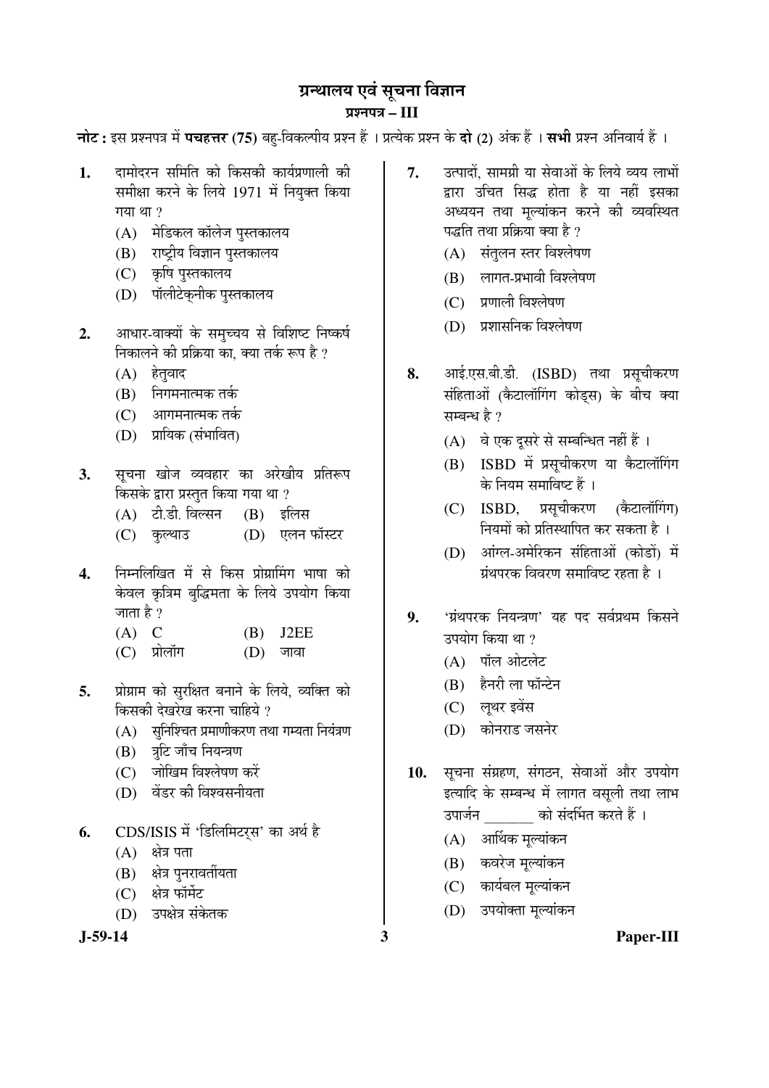# ग्रन्थालय एवं सूचना विज्ञान ¯ÖÏ¿®Ö¯Ö¡Ö **– III**

**नोट:** इस प्रश्नपत्र में **पचहत्तर (75)** बहु-विकल्पीय प्रश्न हैं । प्रत्येक प्रश्न के **दो (2)** अंक हैं । सभी प्रश्न अनिवार्य हैं ।

- 1. दामोदरन समिति को किसकी कार्यप्रणाली की समीक्षा करने के लिये 1971 में नियक्त किया गया $\eta$  था ?
	- (A) मेडिकल कॉलेज पुस्तकालय
	- (B) राष्ट्रीय विज्ञान पुस्तकालय
	- (C) कृषि पुस्तकालय
	- (D) पॉलीटेकनीक पुस्तकालय
- 2. आधार-वाक्यों के समच्चय से विशिष्ट निष्कर्ष निकालने की प्रक्रिया का. क्या तर्क रूप है ?
	- $(A)$  हेतुवाद
	- $(B)$  निगमनात्मक तर्क
	- (C) आगमनात्मक तर्क
	- (D) प्रायिक (संभावित)
- 3. सूचना खोज व्यवहार का अरेखीय प्रतिरूप किसके द्वारा प्रस्तुत किया गया था ?
	- (A) टी.डी. विल्सन (B) इलिस
	- (C) कुल्थाउ (D) एलन फॉस्टर
- **4.** ×®Ö´®Ö×»Ö×ÜÖŸÖ ´Öë ÃÖê ×ÛúÃÖ ¯ÖÏÖêÝÖÏÖØ´ÖÝÖ ³ÖÖÂÖÖ ÛúÖê केवल कृत्रिम बुद्धिमता के लिये उपयोग किया जाता है ?
	- $(A)$  C  $(B)$  J2EE
	- $(C)$  प्रोलॉग  $(D)$  जावा
- 5. प्रोग्राम को सुरक्षित बनाने के लिये, व्यक्ति को <u>किसकी देखरेख करना चाहिये</u> ?
	- $(A)$  सुनिश्चित प्रमाणीकरण तथा गम्यता नियंत्रण
	- (B) त्रूटि जाँच नियन्त्रण
	- (C) जोखिम विश्लेषण करें
	- (D) वेंडर की विश्वसनीयता
- 6. CDS/ISIS में 'डिलिमिटर्स' का अर्थ है
	- $(A)$  क्षेत्र पता
	- (B) क्षेत्र पुनरावर्तीयता
	- $(C)$  क्षेत्र फॉर्मेट
	- (D) उपक्षेत्र संकेतक

- 7. उत्पादों, सामग्री या सेवाओं के लिये व्यय लाभों द्वारा उचित सिद्ध होता है या नहीं इसका अध्ययन तथा मुल्यांकन करने की व्यवस्थित पद्धति तथा प्रक्रिया क्या है ?
	- (A) संतुलन स्तर विश्लेषण
	- $(B)$  लागत-प्रभावी विश्लेषण
	- (C) प्रणाली विश्लेषण
	- (D) प्रशासनिक विश्लेषण
- 8. आई.एस.बी.डी. (ISBD) तथा प्रसूचीकरण संहिताओं (कैटालॉगिंग कोड्स) के बीच क्या सम्बन्ध है $\,$ ?
	- (A) वे एक दूसरे से सम्बन्धित नहीं हैं।
	- (B) ISBD में प्रसचीकरण या कैटालॉगिंग के नियम समाविष्ट हैं ।
	- (C) ISBD, प्रसुचीकरण (कैटालॉगिंग) <u>नियमों को प्रतिस्थापित कर सकता है ।</u>
	- (D) आंग्ल-अमेरिकन संहिताओं (कोडों) में  $\vec{y}$ थपरक विवरण समाविष्ट रहता है)।
- 9. 'ग्रंथपरक नियन्त्रण' यह पद सर्वप्रथम किसने उपयोग किया था ?
	- $(A)$  पॉल ओटलेट
	- (B) हैनरी ला फॉन्टेन
	- (C) लूथर इवेंस
	- (D) कोनराड जसनेर
- 10. सूचना संग्रहण, संगठन, सेवाओं और उपयोग इत्यादि के सम्बन्ध में लागत वसूली तथा लाभ उपार्जन को संदर्भित करते हैं ।
	- $(A)$  आर्थिक मूल्यांकन
	- (B) कवरेज मूल्यांकन
	- (C) कार्यबल मुल्यांकन
	- (D) उपयोक्ता मूल्यांकन
- **J-59-14 3 Paper-III**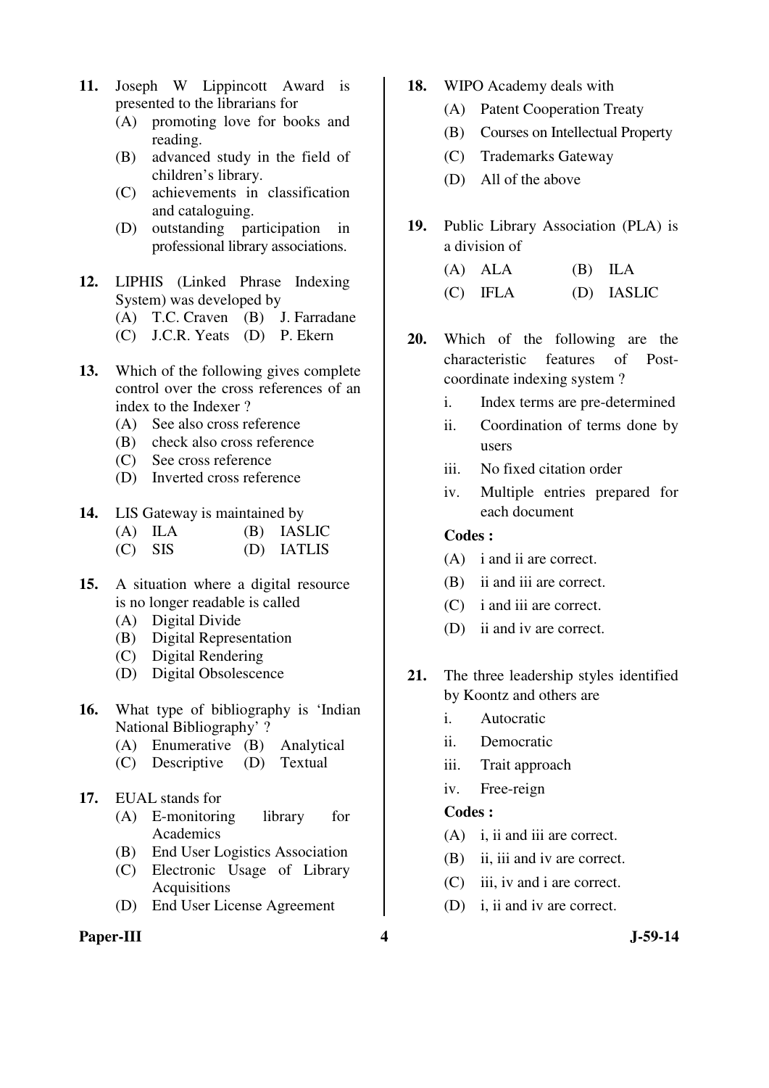- **11.** Joseph W Lippincott Award is presented to the librarians for
	- (A) promoting love for books and reading.
	- (B) advanced study in the field of children's library.
	- (C) achievements in classification and cataloguing.
	- (D) outstanding participation in professional library associations.
- **12.** LIPHIS (Linked Phrase Indexing System) was developed by
	- (A) T.C. Craven (B) J. Farradane
	- (C) J.C.R. Yeats (D) P. Ekern
- **13.** Which of the following gives complete control over the cross references of an index to the Indexer ?
	- (A) See also cross reference
	- (B) check also cross reference
	- (C) See cross reference
	- (D) Inverted cross reference
- **14.** LIS Gateway is maintained by
	- (A) ILA (B) IASLIC
	- (C) SIS (D) IATLIS
- **15.** A situation where a digital resource is no longer readable is called
	- (A) Digital Divide
	- (B) Digital Representation
	- (C) Digital Rendering
	- (D) Digital Obsolescence
- **16.** What type of bibliography is 'Indian National Bibliography' ?
	- (A) Enumerative (B) Analytical
	- (C) Descriptive (D) Textual
- **17.** EUAL stands for
	- (A) E-monitoring library for Academics
	- (B) End User Logistics Association
	- (C) Electronic Usage of Library Acquisitions
	- (D) End User License Agreement

## Paper-III 3-59-14

- **18.** WIPO Academy deals with
	- (A) Patent Cooperation Treaty
	- (B) Courses on Intellectual Property
	- (C) Trademarks Gateway
	- (D) All of the above
- **19.** Public Library Association (PLA) is a division of
	- (A) ALA (B) ILA (C) IFLA (D) IASLIC
- **20.** Which of the following are the characteristic features of Postcoordinate indexing system ?
	- i. Index terms are pre-determined
	- ii. Coordination of terms done by users
	- iii. No fixed citation order
	- iv. Multiple entries prepared for each document

#### **Codes :**

- (A) i and ii are correct.
- (B) ii and iii are correct.
- (C) i and iii are correct.
- (D) ii and iv are correct.
- **21.** The three leadership styles identified by Koontz and others are
	- i. Autocratic
	- ii. Democratic
	- iii. Trait approach
	- iv. Free-reign

- (A) i, ii and iii are correct.
- (B) ii, iii and iv are correct.
- (C) iii, iv and i are correct.
- (D) i, ii and iv are correct.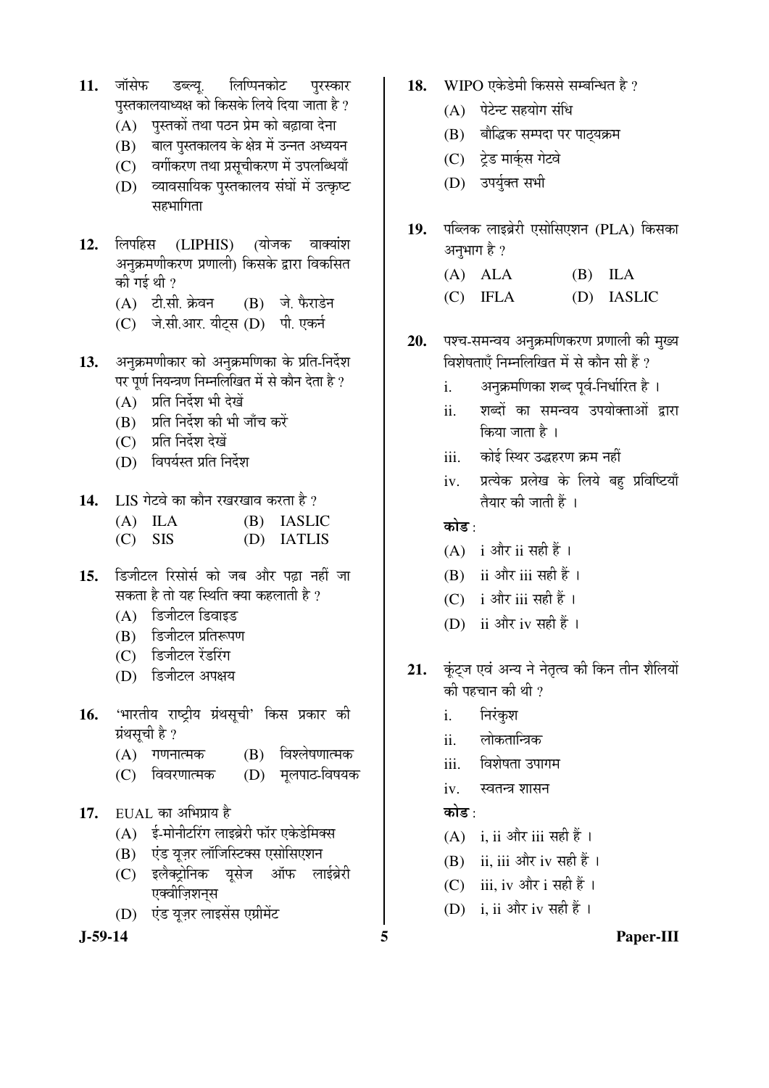- 11. जॉसेफ डब्ल्य. लिप्पिनकोट परस्कार पुस्तकालयाध्यक्ष को किसके लिये दिया जाता है ?
	- $(A)$  पुस्तकों तथा पठन प्रेम को बढ़ावा देना
	- (B) बाल पुस्तकालय के क्षेत्र में उन्नत अध्ययन
	- (C) वर्गीकरण तथा प्रसुचीकरण में उपलब्धियाँ
	- (D) व्यावसायिक पुस्तकालय संघों में उत्कृष्ट सहभागिता
- 12. लिपहिस (LIPHIS) (योजक वाक्यांश अनुक्रमणीकरण प्रणाली) किसके द्वारा विकसित की गई थी  $\it ?$ 
	- (A) टी.सी. क्रेवन (B) जे. फैराडेन
	- (C) जे.सी.आर. यीट्स (D) पी. एकर्न
- 13. अनक्रमणीकार को अनक्रमणिका के प्रति-निर्देश पर पूर्ण नियन्त्रण निम्नलिखित में से कौन देता है ?
	- (A) प्रति निर्देश भी देखें
	- $(B)$  प्रति निर्देश की भी जाँच करें
	- (C) प्रति निर्देश देखें
	- (D) विपर्यस्त प्रति निर्देश
- 14. LIS गेटवे का कौन रखरखाव करता है ?
	- (A) ILA (B) IASLIC
	- (C) SIS (D) IATLIS
- **15.** ×›ü•Öß™ü»Ö ׸üÃÖÖêÃÖÔ ÛúÖê •Ö²Ö †Öî¸ü ¯ÖœÌüÖ ®ÖÆüà •ÖÖ सकता है तो यह स्थिति क्या कहलाती है ?
	- $(A)$  डिजीटल डिवाइड
	- (B) हिजीटल प्रतिरूपण
	- (C) डिजीटल रेंडरिंग
	- (D) हिजीटल अपक्षय
- 16. 'भारतीय राष्ट्रीय ग्रंथसूची' किस प्रकार की ग्रंथसूची है ?
	- (A) गणनात्मक (B) विश्लेषणात्मक
	- (C) विवरणात्मक (D) मृलपाठ-विषयक
- **17.** EUAL का अभिप्राय है
	- $(A)$  ई-मोनीटरिंग लाइब्रेरी फॉर एकेडेमिक्स
	- (B) एंड यूज़र लॉजिस्टिक्स एसोसिएशन
	- (C) इलैक्टोनिक यसेज ऑफ लाईब्रेरी एक्वीज़िशनस
	- (D) एंड यूज़र लाइसेंस एग्रीमेंट

- 18. WIPO एकेडेमी किससे सम्बन्धित है ?
	- $(A)$  पेटेन्ट सहयोग संधि
	- (B) बौद्धिक सम्पदा पर पाठयक्रम
	- (C) ट्रेड मार्क्**स** गेटवे
	- (D) उपर्युक्त सभी
- 19. पब्लिक लाइब्रेरी एसोसिएशन (PLA) किसका अनुभाग है ?
	- (A) ALA (B) ILA
	- (C) IFLA (D) IASLIC
- 20. पश्च-समन्वय अनुक्रमणिकरण प्रणाली की मुख्य <u>विशेषताएँ निम्नलिखित में से कौन सी हैं ?</u>
	- i. अनुक्रमणिका शब्द पूर्व-निर्धारित है ।
	- ii. शब्दों का समन्वय उपयोक्ताओं द्वारा किया जाता है ।
	- iii. कोई स्थिर उद्धहरण क्रम नहीं
	- iv. प्रत्येक प्रलेख के लिये बह प्रविष्टियाँ तैयार की जाती हैं ।

## कोड  $\cdot$

- $(A)$  i और ii सही हैं।
- $(B)$  ii और iii सही हैं।
- (C) i और iii सही हैं।
- (D) ii और iv सही हैं।
- 21. कूंट्ज एवं अन्य ने नेतृत्व की किन तीन शैलियों की पहचान की थी ?
	- i. निरंकुश
	- ii. लोकतान्त्रिक
	- iii. विशेषता उपागम
	- iv. स्वतन्त्र शासन

## कोड :

- (A) i, ii और iii सही हैं।
- $(B)$  ii, iii और iv सही हैं।
- (C) iii, iv और i सही हैं।
- (D) i, ii और iv सही हैं।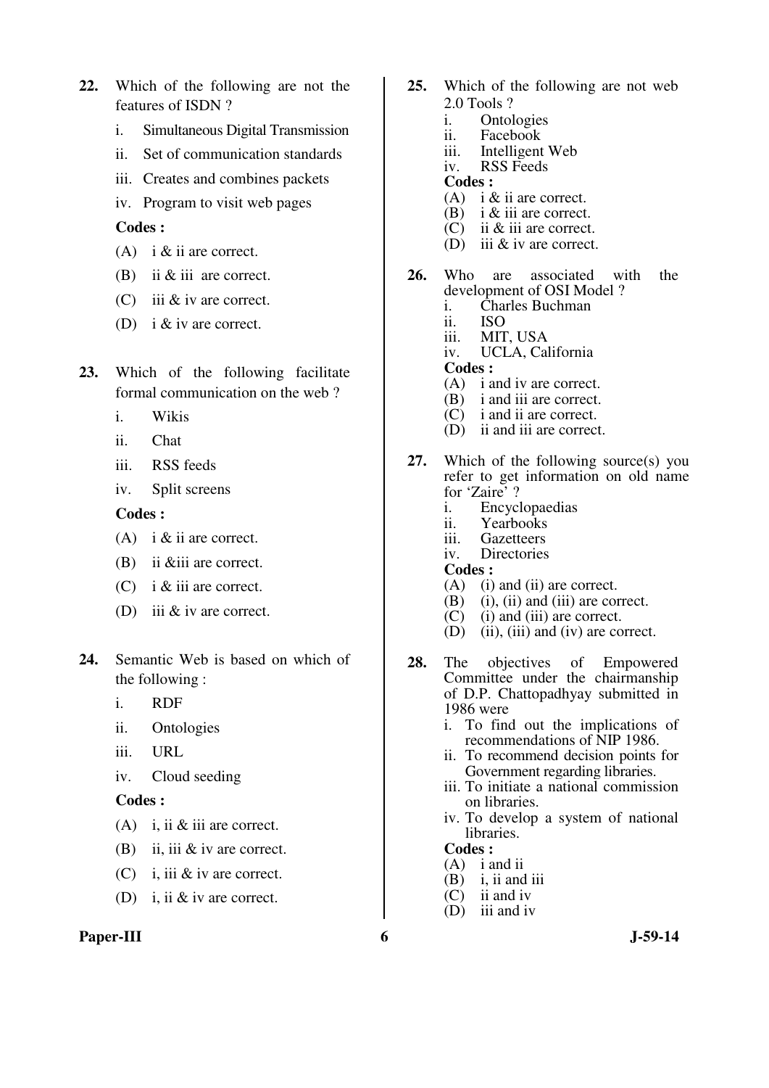- **22.** Which of the following are not the features of ISDN ?
	- i. Simultaneous Digital Transmission
	- ii. Set of communication standards
	- iii. Creates and combines packets
	- iv. Program to visit web pages

- (A) i  $&$  ii are correct.
- (B) ii & iii are correct.
- (C) iii & iv are correct.
- (D) i & iv are correct.
- **23.** Which of the following facilitate formal communication on the web ?
	- i. Wikis
	- ii. Chat
	- iii. RSS feeds
	- iv. Split screens

#### **Codes :**

- (A) i  $&$  ii are correct.
- (B) ii &iii are correct.
- (C) i & iii are correct.
- (D) iii & iv are correct.
- **24.** Semantic Web is based on which of the following :
	- i. RDF
	- ii. Ontologies
	- iii. URL
	- iv. Cloud seeding

#### **Codes :**

- (A) i, ii & iii are correct.
- (B) ii, iii & iv are correct.
- (C) i, iii & iv are correct.
- (D) i, ii & iv are correct.

#### Paper-III 6 J-59-14

- **25.** Which of the following are not web 2.0 Tools ?<br>i. Ontol
	- i. Ontologies<br>ii. Facebook
	- Facebook
	- iii. Intelligent Web
	- iv. RSS Feeds
	- **Codes :**
	- (A) i & ii are correct.
	- (B) i & iii are correct.
	- (C) ii & iii are correct.
	- (D) iii & iv are correct.
- **26.** Who are associated with the development of OSI Model ? i. Charles Buchman
	- ii. ISO
	- iii. MIT, USA
	- iv. UCLA, California
	-
	- **Codes :**
	- (A) i and iv are correct.
	- (B) i and iii are correct. (C) i and ii are correct.
	- (D) ii and iii are correct.
	-
- **27.** Which of the following source(s) you refer to get information on old name for 'Zaire' ?
	- i. Encyclopaedias
	- ii. Yearbooks
	- iii. Gazetteers
	- iv. Directories
	- **Codes :**
	- (A) (i) and (ii) are correct.
	- $(B)$  (i), (ii) and (iii) are correct.
	- (C) (i) and (iii) are correct.<br>(D) (ii), (iii) and (iv) are co
	- $(ii)$ ,  $(iii)$  and  $(iv)$  are correct.
- **28.** The objectives of Empowered Committee under the chairmanship of D.P. Chattopadhyay submitted in 1986 were
	- i. To find out the implications of recommendations of NIP 1986.
	- ii. To recommend decision points for Government regarding libraries.
	- iii. To initiate a national commission on libraries.
	- iv. To develop a system of national libraries.

- (A) i and ii
- $(B)$  i, ii and iii
- (C) ii and iv
- (D) iii and iv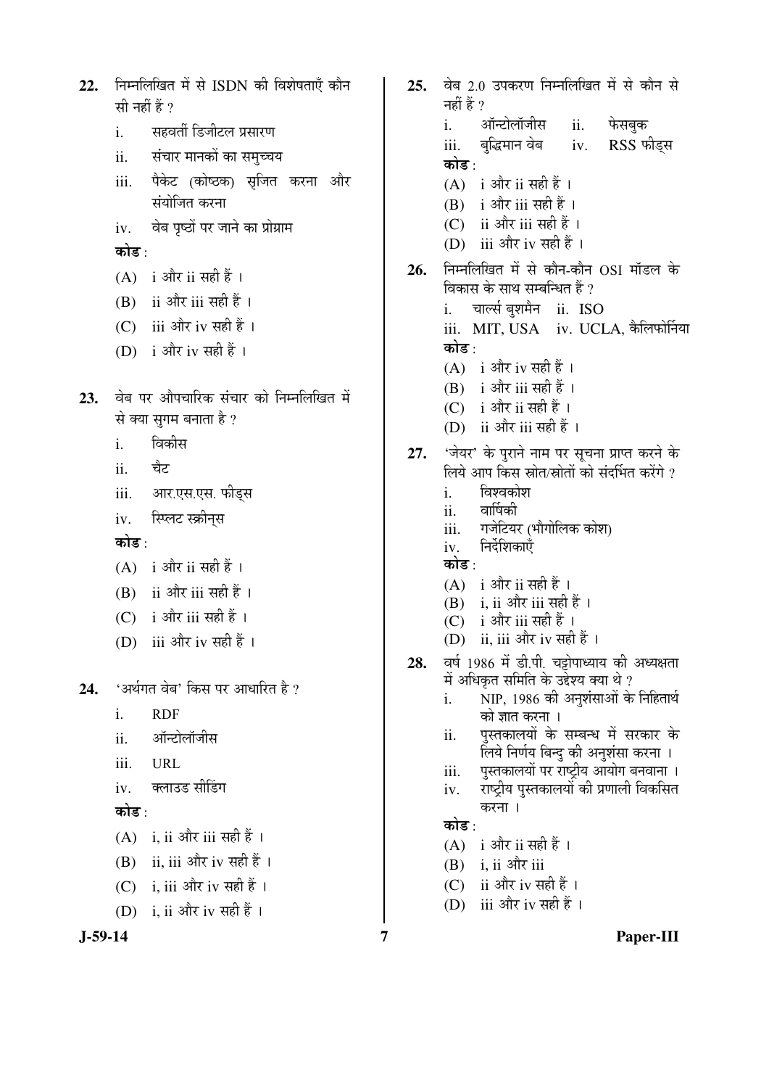```
निम्नलिखित में से ISDN की विशेषताएँ कौन
22.सी नहीं हैं ?
            सहवर्ती डिजीटल प्रसारण
      i.
            संचार मानकों का समुच्चय
      ii.पैकेट (कोष्ठक) सृजित करना और
      iiiसंयोजित करना
            वेब पृष्ठों पर जाने का प्रोग्राम
      iv.
      कोड :
      (A) i और ii सही हैं।
      (B) ii और iii सही हैं।
      (C) iii और iv सही हैं।
      (D) i और iv सही हैं ।
      वेब पर औपचारिक संचार को निम्नलिखित में
23.
      से क्या सुगम बनाता है ?
            विकीस
      i.
            चैट
      ii.
            आर.एस.एस. फीड्स
      iii.
            स्प्लिट स्क्रीनस
      iv.
      कोड \cdot(A) i और ii सही हैं।
      (B) ii और iii सही हैं।
      (C) i और iii सही हैं।
      (D) iii और iv सही हैं।
      'अर्थगत वेब' किस पर आधारित है ?
24.
      \mathbf{i}.
            RDF
            ऑन्टोलॉजीस
      ii.iii.
            URL
            क्लाउड सीडिंग
      ivकोड :
      (A) i. ii और iii सही हैं।
      (B) ii, iii और iv सही हैं।
      (C) i. iii और iv सही हैं।
      (D) i, ii और iv सही हैं।
J-59-14
```
25. वेब 2.0 उपकरण निम्नलिखित में से कौन से नहीं हैं ? ऑन्टोलॉजीस फेसबक  $\mathbf{i}$ . ii. बुद्धिमान वेब iv. RSS फीड्स iii. कोड $\cdot$  $(A)$  i और ii सही हैं।  $(B)$  i और iii सही हैं।  $(C)$  ii और iii सही हैं। (D) iii और iv सही हैं। निम्नलिखित में से कौन-कौन OSI मॉडल के 26. विकास के साथ सम्बन्धित हैं ? चार्ल्स बशमैन  $\,$  ii. ISO  $\mathbf{i}$ iii. MIT, USA iv. UCLA, कैलिफोर्निया कोड⊹  $(A)$  i और iv सही हैं।  $(B)$  i और iii सही हैं ।  $(C)$  i और ii सही हैं। (D) ii और iii सही हैं। 'जेयर' के पुराने नाम पर सूचना प्राप्त करने के<br>लिये आप किस स्रोत/स्रोतों को संदर्भित करेंगे ? 27. विश्वकोश  $\mathbf{i}$ . वार्षिकी ii. गजेटियर (भौगोलिक कोश) iii. निर्देशिकाएँ iv. कोड  $\cdot$  $(A)$  i और ii सही हैं।  $(B)$  i. ii और iii सही हैं। (C) i और iii सही हैं। (D) ii, iii और iv सही हैं । वर्ष 1986 में डी.पी. चट्टोपाध्याय की अध्यक्षता 28. में अधिकृत समिति के उद्देश्य क्या थे ? NIP, 1986 की अनुशंसाओं के निहितार्थ i. को ज्ञात करना । पुस्तकालयों के सम्बन्ध में सरकार के ii. लिये निर्णय बिन्दु की अनुशंसा करना । पुस्तकालयों पर राष्ट्रीय आयोग बनवाना । iii. राष्ट्रीय पुस्तकालयों की प्रणाली विकसित iv. करना । कोड़ ∙  $(A)$  i और ii सही हैं।  $(B)$  i. ii और iii (C) ii और iv सही हैं।

(D) iii और iv सही हैं।

 $\overline{7}$ 

Paper-III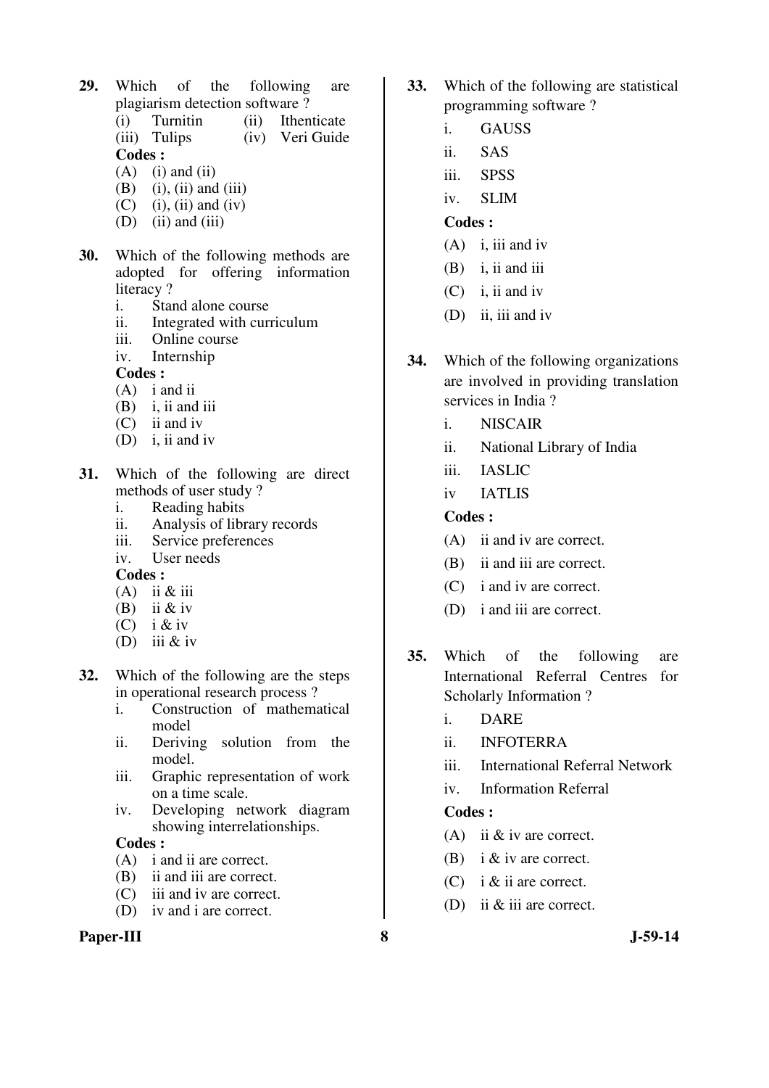- **29.** Which of the following are plagiarism detection software?<br>(i) Turnitin (ii) Ithen (i) Turnitin (ii) Ithenticate (iii) Tulips (iv) Veri Guide **Codes :**   $(A)$  (i) and (ii)
	- $(B)$  (i), (ii) and (iii)
	- $(C)$  (i), (ii) and (iv)
	- $(D)$  (ii) and (iii)
- **30.** Which of the following methods are adopted for offering information literacy?
	- i. Stand alone course
	- ii. Integrated with curriculum<br>iii. Online course
	- Online course
	- iv. Internship

- (A) i and ii
- $(B)$  i, ii and iii
- (C) ii and iv
- (D) i, ii and iv
- **31.** Which of the following are direct methods of user study ?
	- i. Reading habits
	- ii. Analysis of library records
	- iii. Service preferences
	- iv. User needs
	- **Codes :**
	- $(A)$  ii & iii
	- (B) ii  $&$  iv
	- (C) i & iv
	- (D) iii  $&$  iv
- **32.** Which of the following are the steps in operational research process ?
	- i. Construction of mathematical model
	- ii. Deriving solution from the model.
	- iii. Graphic representation of work on a time scale.
	- iv. Developing network diagram showing interrelationships.

## **Codes :**

- (A) i and ii are correct.
- (B) ii and iii are correct.
- (C) iii and iv are correct.
- (D) iv and i are correct.

## Paper-III 8 J-59-14

- **33.** Which of the following are statistical programming software ?
	- i. GAUSS
	- ii. SAS
	- iii. SPSS
	- iv. SLIM

## **Codes :**

- $(A)$  i, iii and iv
- (B) i, ii and iii
- (C) i, ii and iv
- (D) ii, iii and iv
- **34.** Which of the following organizations are involved in providing translation services in India ?
	- i. NISCAIR
	- ii. National Library of India
	- iii. IASLIC
	- iv IATLIS

## **Codes :**

- (A) ii and iv are correct.
- (B) ii and iii are correct.
- (C) i and iv are correct.
- (D) i and iii are correct.
- **35.** Which of the following are International Referral Centres for Scholarly Information ?
	- i. DARE
	- ii. INFOTERRA
	- iii. International Referral Network
	- iv. Information Referral

- (A) ii & iv are correct.
- (B) i & iv are correct.
- (C) i & ii are correct.
- (D) ii & iii are correct.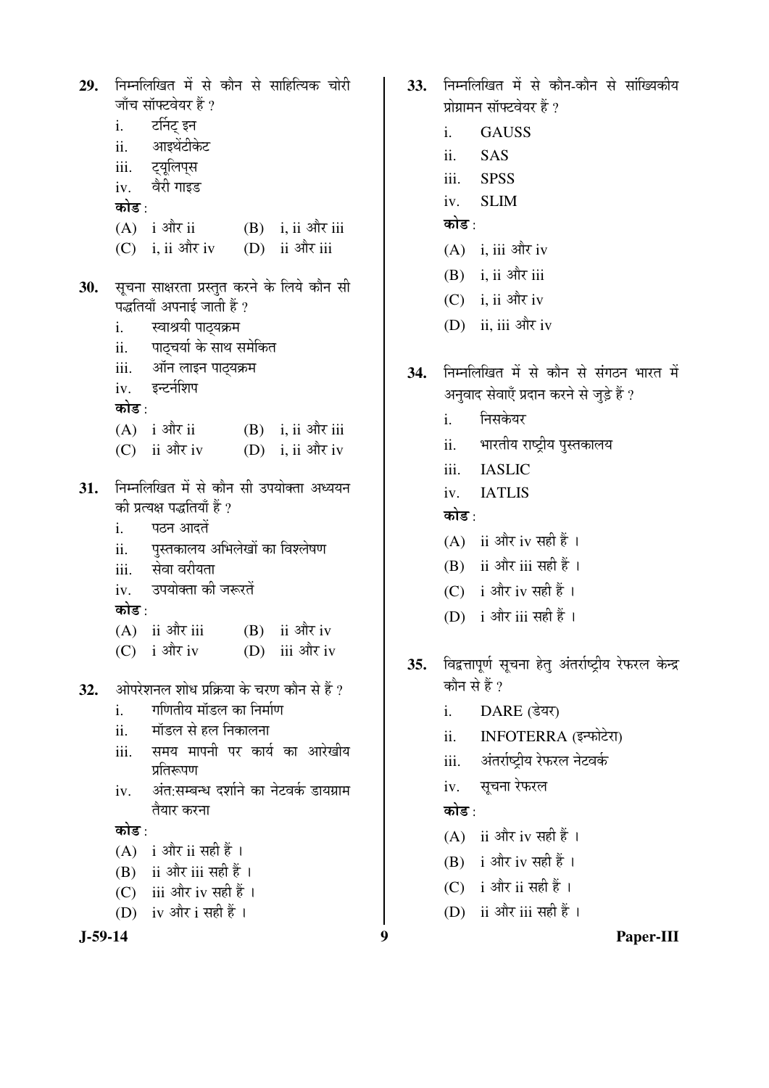29. निम्नलिखित में से कौन से साहित्यिक चोरी जाँच सॉफ्टवेयर हैं ? र्टानट इन  $\mathbf{i}$ . आइथेंटीकेट ii. ट्यूलिप्स iii. वैरी गाइड  $iv.$ कोड $\cdot$  $(A)$  i और ii  $(B)$  i, ii और iii  $(C)$  i, ii और iv (D) ii और iii सूचना साक्षरता प्रस्तुत करने के लिये कौन सी 30. पद्धतियाँ अपनाई जाती हैं ? स्वाश्रयी पाठ्यक्रम i. पाठचर्या के साथ समेकित  $ii.$ ऑन लाइन पाठ्यक्रम iii. iv. इन्टर्नशिप कोड़ $\cdot$  $(A)$  i और ii  $(B)$  i, ii और iii  $(C)$  ii और iv (D) i, ii और iv 31. निम्नलिखित में से कौन सी उपयोक्ता अध्ययन की प्रत्यक्ष पद्धतियाँ हैं ? पठन आदतें i. पुस्तकालय अभिलेखों का विश्लेषण ii. सेवा वरीयता iii. उपयोक्ता की जरूरतें  $iv$ कोड $\cdot$  $(A)$  ii और iii  $(B)$  ii और iv  $(C)$  i और iv (D) iii और iv ओपरेशनल शोध प्रक्रिया के चरण कौन से हैं ?  $32.$ गणितीय मॉडल का निर्माण  $\mathbf{i}$ . मॉडल से हल निकालना  $ii.$ समय मापनी पर कार्य का आरेखीय iii. प्रतिरूपण अंत:सम्बन्ध दर्शाने का नेटवर्क डायग्राम iv. तैयार करना कोड $\cdot$  $(A)$  i और ii सही हैं।  $(B)$  ii और iii सही हैं।  $(C)$  iii और iv सही हैं। (D) iv और i सही हैं।  $J-59-14$ 

- 33. निम्नलिखित में से कौन-कौन से सांख्यिकीय प्रोग्रामन सॉफ्टवेयर हैं ?
	- **GAUSS**  $\mathbf{i}$ .
	- ii. **SAS**
	- **SPSS** iii.
	- **SLIM**  $iv_{i}$
	- कोड⊹
	- $(A)$  i. iii और iv
	- $(B)$  i, ii और iii
	- $(C)$  i, ii और iv
	- (D) ii, iii और iv
- निम्नलिखित में से कौन से संगठन भारत में 34. अनवाद सेवाएँ प्रदान करने से जुड़े हैं ?
	- निसकेयर  $i$ .
	- भारतीय राष्ट्रीय पुस्तकालय ii.
	- **IASLIC**  $iii$
	- **JATLIS**  $iv.$

## कोड $\cdot$

- $(A)$  ii और iv सही हैं।
- (B) ii और iii सही हैं ।
- (C) i और iv सही हैं।
- (D) i और iii सही हैं।
- विद्वत्तापूर्ण सूचना हेतु अंतर्राष्ट्रीय रेफरल केन्द्र  $35.$ कौन से हैं ?
	- $\mathbf{i}$ . DARE (डेयर)
	- INFOTERRA (इन्फोटेरा)  $ii.$
	- अंतर्राष्टीय रेफरल नेटवर्क iii.
	- सूचना रेफरल  $iv.$

## कोड :

 $\boldsymbol{9}$ 

- $(A)$  ii और iv सही हैं।
- $(B)$  i और iv सही हैं।
- $(C)$  i और ii सही हैं।
- (D) ii और iii सही हैं।

Paper-III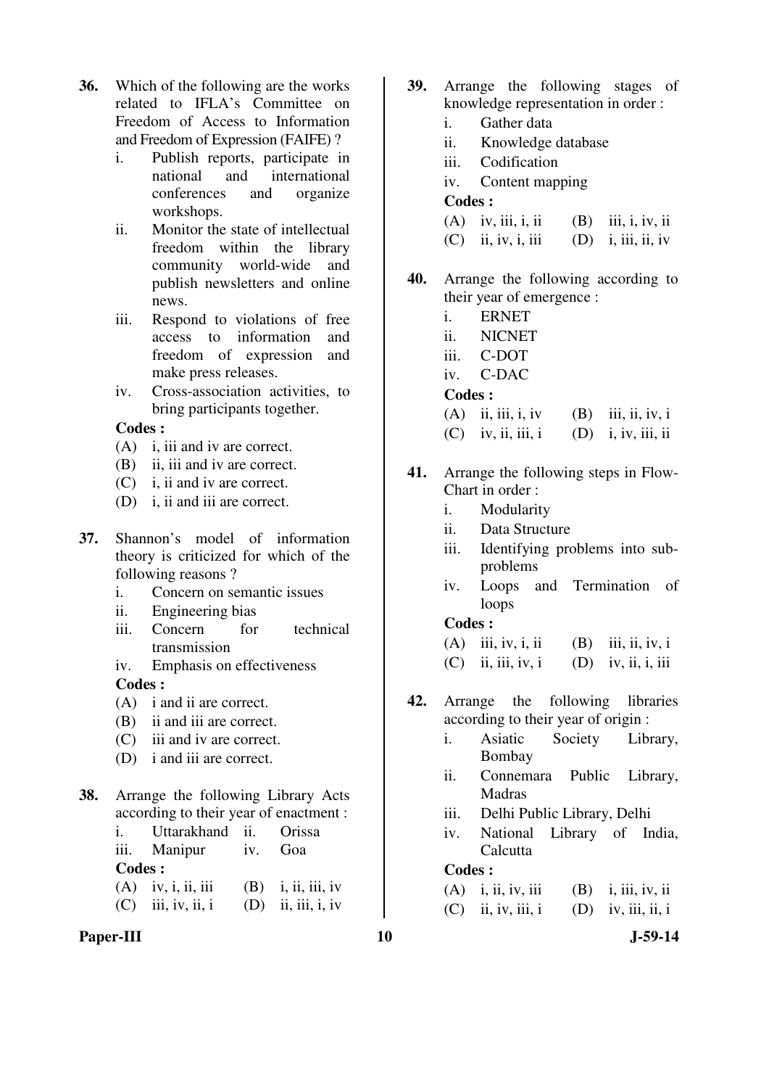- **36.** Which of the following are the works related to IFLA's Committee on Freedom of Access to Information and Freedom of Expression (FAIFE) ?
	- i. Publish reports, participate in national and international conferences and organize workshops.
	- ii. Monitor the state of intellectual freedom within the library community world-wide and publish newsletters and online news.
	- iii. Respond to violations of free access to information and freedom of expression and make press releases.
	- iv. Cross-association activities, to bring participants together.

- (A) i, iii and iv are correct.
- (B) ii, iii and iv are correct.
- (C) i, ii and iv are correct.
- (D) i, ii and iii are correct.
- **37.** Shannon's model of information theory is criticized for which of the following reasons ?
	- i. Concern on semantic issues
	- ii. Engineering bias
	- iii. Concern for technical transmission
	- iv. Emphasis on effectiveness

## **Codes :**

- (A) i and ii are correct.
- (B) ii and iii are correct.
- (C) iii and iv are correct.
- (D) i and iii are correct.
- **38.** Arrange the following Library Acts according to their year of enactment :
	- i. Uttarakhand ii. Orissa iii. Manipur iv. Goa **Codes :**  (A) iv, i, ii, iii (B) i, ii, iii, iv  $(C)$  iii, iv, ii, i  $(D)$  ii, iii, i, iv
- Paper-III 10 J-59-14
- **39.** Arrange the following stages of knowledge representation in order :
	- i. Gather data
	- ii. Knowledge database
	- iii. Codification
	- iv. Content mapping

## **Codes :**

| $(A)$ iv, iii, i, ii | $(B)$ iii, i, iv, ii |
|----------------------|----------------------|
|                      |                      |

- $(C)$  ii, iv, i, iii  $(D)$  i, iii, ii, iv
- **40.** Arrange the following according to their year of emergence :
	- i. ERNET
	- ii. NICNET
	- iii. C-DOT
	- iv. C-DAC

## **Codes :**

- (A) ii, iii, i, iv (B) iii, ii, iv, i
- $(C)$  iv, ii, iii, i  $(D)$  i, iv, iii, ii
- **41.** Arrange the following steps in Flow-Chart in order :
	- i. Modularity
	- ii. Data Structure
	- iii. Identifying problems into subproblems
	- iv. Loops and Termination of loops

## **Codes :**

- (A) iii, iv, i, ii (B) iii, ii, iv, i
- $(C)$  ii, iii, iv, i  $(D)$  iv, ii, i, iii
- **42.** Arrange the following libraries according to their year of origin :
	- i. Asiatic Society Library, Bombay
	- ii. Connemara Public Library, Madras
	- iii. Delhi Public Library, Delhi
	- iv. National Library of India, **Calcutta**

| $(A)$ i, ii, iv, iii | $(B)$ i, iii, iv, ii |
|----------------------|----------------------|
| $(C)$ ii, iv, iii, i | $(D)$ iv, iii, ii, i |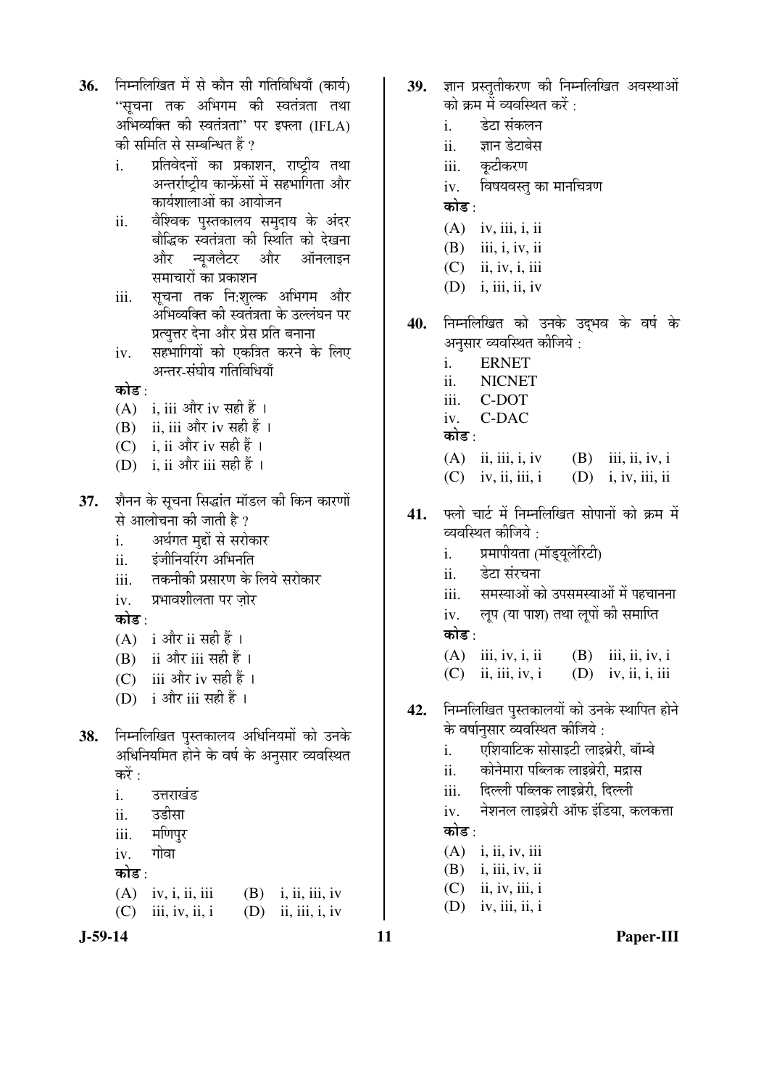- 36. निम्नलिखित में से कौन सी गतिविधियाँ (कार्य) "सुचना तक अभिगम की स्वतंत्रता तथा अभिव्यक्ति की स्वतंत्रता" पर इफ्ला (IFLA) की समिति से सम्बन्धित हैं ?
	- i. प्रतिवेदनों का प्रकाशन, राष्ट्रीय तथा अन्तर्राष्ट्रीय कान्फ्रेंसों में सहभागिता और कार्यशालाओं का आयोजन
	- <u>ii. वैश्विक पु</u>स्तकालय समुदाय के अंदर बौद्धिक स्वतंत्रता की स्थिति को देखना और न्युजलैटर और ऑनलाइन समाचारों का प्रकाशन
	- iii. सूचना तक नि:शुल्क अभिगम और अभिव्यक्ति की स्वतंत्रता के उल्लंघन पर प्रत्यत्तर देना और प्रेस प्रति बनाना
	- iv. सहभागियों को एकत्रित करने के लिए अन्तर-संघीय गतिविधियाँ

## कोड $\cdot$

- $(A)$  i, iii और iv सही हैं।
- (B) ii, iii और iv सही हैं ।
- (C) i, ii और iv सही हैं ।
- (D) i, ii और iii सही हैं ।
- **37.** शैनन के सूचना सिद्धांत मॉडल की किन कारणों से आलोचना की जाती है ?
	- i. अर्थगत मद्दों से सरोकार
	- ii. ‡Ó•Öß×®ÖµÖØ¸üÝÖ †×³Ö®ÖןÖ
	- iii. तकनीकी प्रसारण के लिये सरोकार
	- iv. प्रभावशीलता पर ज़ोर

कोड :

- $(A)$  i और ii सही हैं।
- (B) ii और iii सही हैं।
- (C) iii और iv सही हैं ।
- (D) i और iii सही हैं।
- 38. निम्नलिखित पुस्तकालय अधिनियमों को उनके अधिनियमित होने के वर्ष के अनुसार व्यवस्थित करें :
	- i. उत्तराखंड
	- ii. उडीसा
	- iii. मणिपुर
	- iv. गोवा
	- कोड़ $\cdot$
	- (A) iv, i, ii, iii (B) i, ii, iii, iv  $(C)$  iii, iv, ii, i  $(D)$  ii, iii, i, iv
- 
- 39. ज्ञान प्रस्ततीकरण की निम्नलिखित अवस्थाओं को क्रम में व्यवस्थित करें $\,$  :
	- i देटा संकलन
	- ii. ज्ञान डेटाबेस
	- iii. कटीकरण
	- iv. विषयवस्तु का मानचित्रण
	- कोड :
	- (A) iv, iii, i, ii
	- (B) iii, i, iv, ii
	- $(C)$  ii, iv, i, iii
	- $(D)$  i, iii, ii, iv
- 40. निम्नलिखित को उनके उदभव के वर्ष के अनुसार व्यवस्थित कीजिये :
	- i. ERNET
	- ii. NICNET
	- iii. C-DOT
	- iv. C-DAC
	- कोड :
	- (A) ii, iii, i, iv (B) iii, ii, iv, i
	- $(C)$  iv, ii, iii, i  $(D)$  i, iv, iii, ii
- 41. फ्लो चार्ट में निम्नलिखित सोपानों को क्रम में व्यवस्थित कीजिये  $\cdot$ 
	- i. ग्रमापीयता (मॉड्यूलेरिटी)
	- ii. हेटा संरचना
	- iii. समस्याओं को उपसमस्याओं में पहचानना
	- iv. लुप (या पाश) तथा लुपों की समाप्ति कोड :
	- (A) iii, iv, i, ii (B) iii, ii, iv, i  $(C)$  ii, iii, iv, i  $(D)$  iv, ii, i, iii
- 42. निम्नलिखित पुस्तकालयों को उनके स्थापित होने के वर्षानुसार व्यवस्थित कीजिये :
	- i. एशियाटिक सोसाइटी लाइब्रेरी, बॉम्बे
	- ii. कोनेमारा पब्लिक लाइब्रेरी, मद्रास
	- iii. פü»»Öß ¯Öײ»ÖÛú »ÖÖ‡²ÖÎê¸üß, פü»»Öß
	- iv. नेशनल लाइब्रेरी ऑफ इंडिया, कलकत्ता कोड़ $\cdot$
	- (A) i, ii, iv, iii
	- (B) i, iii, iv, ii
	- $(C)$  ii, iv, iii, i
	- $(D)$  iv, iii, ii, i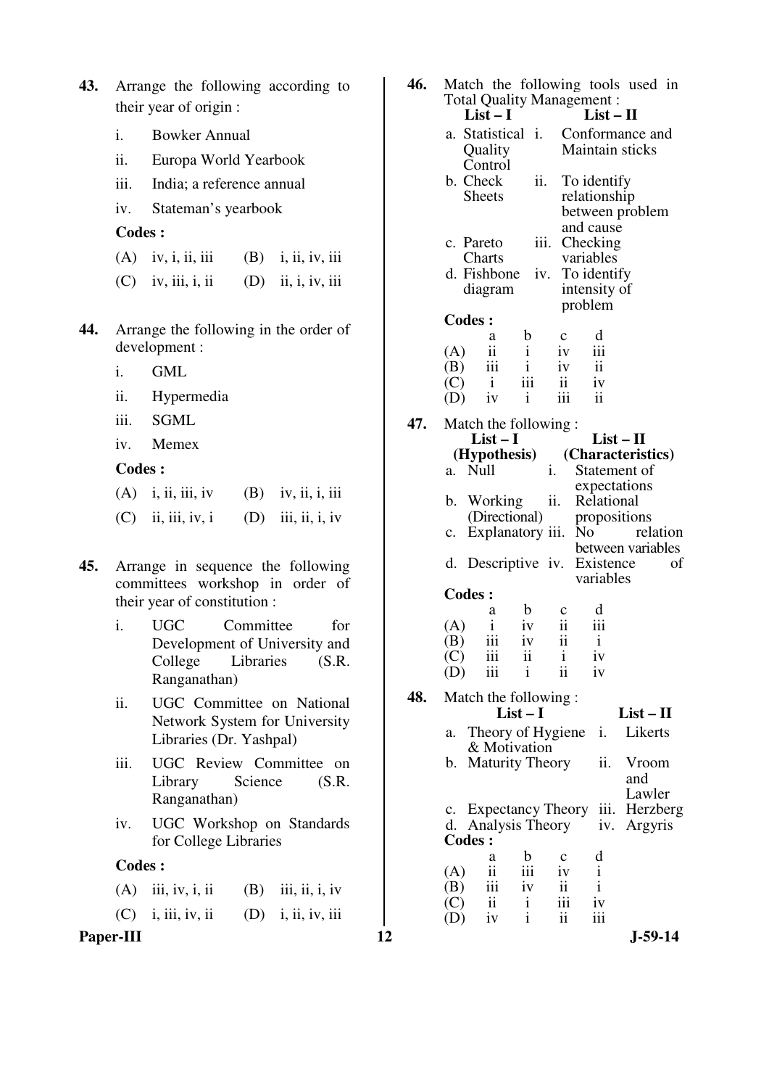| <b>43.</b> Arrange the following according to |  |  |
|-----------------------------------------------|--|--|
| their year of origin :                        |  |  |

- i. Bowker Annual
- ii. Europa World Yearbook
- iii. India; a reference annual
- iv. Stateman's yearbook

- (A) iv, i, ii, iii (B) i, ii, iv, iii
- $(C)$  iv, iii, i, ii  $(D)$  ii, i, iv, iii
- **44.** Arrange the following in the order of development :
	- i. GML
	- ii. Hypermedia
	- iii. SGML
	- iv. Memex

## **Codes :**

| $(A)$ i, ii, iii, iv | $(B)$ iv, ii, i, iii |
|----------------------|----------------------|
| $(C)$ ii, iii, iv, i | $(D)$ iii, ii, i, iv |

- **45.** Arrange in sequence the following committees workshop in order of their year of constitution :
	- i. UGC Committee for Development of University and College Libraries (S.R. Ranganathan)
	- ii. UGC Committee on National Network System for University Libraries (Dr. Yashpal)
	- iii. UGC Review Committee on Library Science (S.R. Ranganathan)
	- iv. UGC Workshop on Standards for College Libraries

#### **Codes :**

| $(A)$ iii, iv, i, ii | $(B)$ iii, ii, i, iv |
|----------------------|----------------------|
|                      |                      |
|                      |                      |

| 43. |               | Arrange the following according to<br>their year of origin :         | 46. | Match the following tools used in<br><b>Total Quality Management:</b><br>$List-I$<br>$List - II$                 |  |  |  |  |
|-----|---------------|----------------------------------------------------------------------|-----|------------------------------------------------------------------------------------------------------------------|--|--|--|--|
|     | i.            | <b>Bowker Annual</b>                                                 |     | Conformance and<br>a. Statistical i.                                                                             |  |  |  |  |
|     | ii.           | Europa World Yearbook                                                |     | Maintain sticks<br>Quality<br>Control                                                                            |  |  |  |  |
|     | iii.          | India; a reference annual                                            |     | b. Check<br>ii.<br>To identify                                                                                   |  |  |  |  |
|     | iv.           | Stateman's yearbook                                                  |     | <b>Sheets</b><br>relationship<br>between problem                                                                 |  |  |  |  |
|     | <b>Codes:</b> |                                                                      |     | and cause                                                                                                        |  |  |  |  |
|     | (A)           | iv, i, ii, iii<br>(B)<br>i, ii, iv, iii                              |     | iii.<br>Checking<br>c. Pareto<br>Charts<br>variables                                                             |  |  |  |  |
|     | (C)           | (D)<br>ii, i, iv, iii<br>iv, iii, i, ii                              |     | d. Fishbone<br>To identify<br>iv.<br>diagram<br>intensity of                                                     |  |  |  |  |
|     |               |                                                                      |     | problem                                                                                                          |  |  |  |  |
| 44. |               | Arrange the following in the order of<br>development :               |     | <b>Codes:</b><br>$\mathbf b$<br>d<br>$\mathbf c$<br>a<br>$\ddot{\mathbf{i}}$<br>iii<br>$\mathbf{i}$<br>(A)<br>iv |  |  |  |  |
|     | i.            | <b>GML</b>                                                           |     | iii<br>$\mathbf{i}$<br>$\mathbf{ii}$<br>(B)<br>iv                                                                |  |  |  |  |
|     | ii.           | Hypermedia                                                           |     | iii<br>ii<br>$\mathbf{i}$<br>(C)<br>iv<br>iii<br>$\ddot{\rm ii}$<br>$\mathbf{i}$<br>(D)<br>iv                    |  |  |  |  |
|     | iii.          | <b>SGML</b>                                                          | 47. | Match the following:                                                                                             |  |  |  |  |
|     | iv.           | Memex                                                                |     | $List - II$<br>$List-I$<br>(Hypothesis)<br>(Characteristics)                                                     |  |  |  |  |
|     | <b>Codes:</b> |                                                                      |     | a. Null<br>$i$ .<br>Statement of                                                                                 |  |  |  |  |
|     | (A)           | i, ii, iii, iv<br>iv, ii, i, iii<br>(B)                              |     | expectations<br>ii.<br>b. Working<br>Relational                                                                  |  |  |  |  |
|     | (C)           | (D)<br>iii, ii, i, iv<br>ii, iii, iv, i                              |     | (Directional)<br>propositions<br>c. Explanatory iii.<br>N <sub>0</sub><br>relation<br>between variables          |  |  |  |  |
| 45. |               | Arrange in sequence the following<br>committees workshop in order of |     | d. Descriptive iv. Existence<br>of<br>variables                                                                  |  |  |  |  |
|     |               | their year of constitution :                                         |     | <b>Codes:</b><br>$\mathbf b$<br>d<br>a<br>$\mathbf c$                                                            |  |  |  |  |
|     | i.            | <b>UGC</b><br>Committee<br>for                                       |     | $\rm ii$<br>$\mathbf{i}$<br>iv<br>(A)<br>111                                                                     |  |  |  |  |
|     |               | Development of University and<br>College<br>Libraries<br>(S.R.       |     | $\mathbf{ii}$<br>iii<br>iv<br>(B)<br>$\mathbf{i}$<br>(C)<br>111<br>11<br>1V<br>1                                 |  |  |  |  |
|     |               | Ranganathan)                                                         |     | ii<br>iii<br>$\mathbf{i}$<br>(D)<br>iv                                                                           |  |  |  |  |
|     | ii.           | UGC Committee on National                                            | 48. | Match the following:<br>$List-I$<br>$List - II$                                                                  |  |  |  |  |
|     |               | Network System for University<br>Libraries (Dr. Yashpal)             |     | a. Theory of Hygiene<br>Likerts<br>i.<br>& Motivation                                                            |  |  |  |  |
|     | iii.          | UGC Review Committee on                                              |     | ii.<br>b. Maturity Theory<br>Vroom                                                                               |  |  |  |  |
|     |               | Library<br>Science<br>(S.R.<br>Ranganathan)                          |     | and<br>Lawler                                                                                                    |  |  |  |  |
|     | iv.           | UGC Workshop on Standards                                            |     | iii. Herzberg<br>c. Expectancy Theory<br>d. Analysis Theory<br>iv. Argyris                                       |  |  |  |  |
|     |               | for College Libraries                                                |     | <b>Codes:</b>                                                                                                    |  |  |  |  |
|     | <b>Codes:</b> |                                                                      |     | $\mathbf b$<br>d<br>a<br>c<br>iii<br>$\mathbf{i}$<br>$\overline{\mathbf{ii}}$<br>(A)<br>iv                       |  |  |  |  |
|     | (A)           | iii, iv, i, ii<br>iii, ii, i, iv<br>(B)                              |     | $\mathbf i$<br>iii<br>ii<br>(B)<br>iv                                                                            |  |  |  |  |
|     | (C)           | i, iii, iv, ii<br>i, ii, iv, iii<br>(D)                              |     | iii<br>$\mathbf{ii}$<br>$\mathbf{i}$<br>(C)<br>iv<br>$\mathbf{i}$<br>ii<br>iii<br>iv<br>(D)                      |  |  |  |  |
|     | Paper-III     |                                                                      | 12  | $J-59-14$                                                                                                        |  |  |  |  |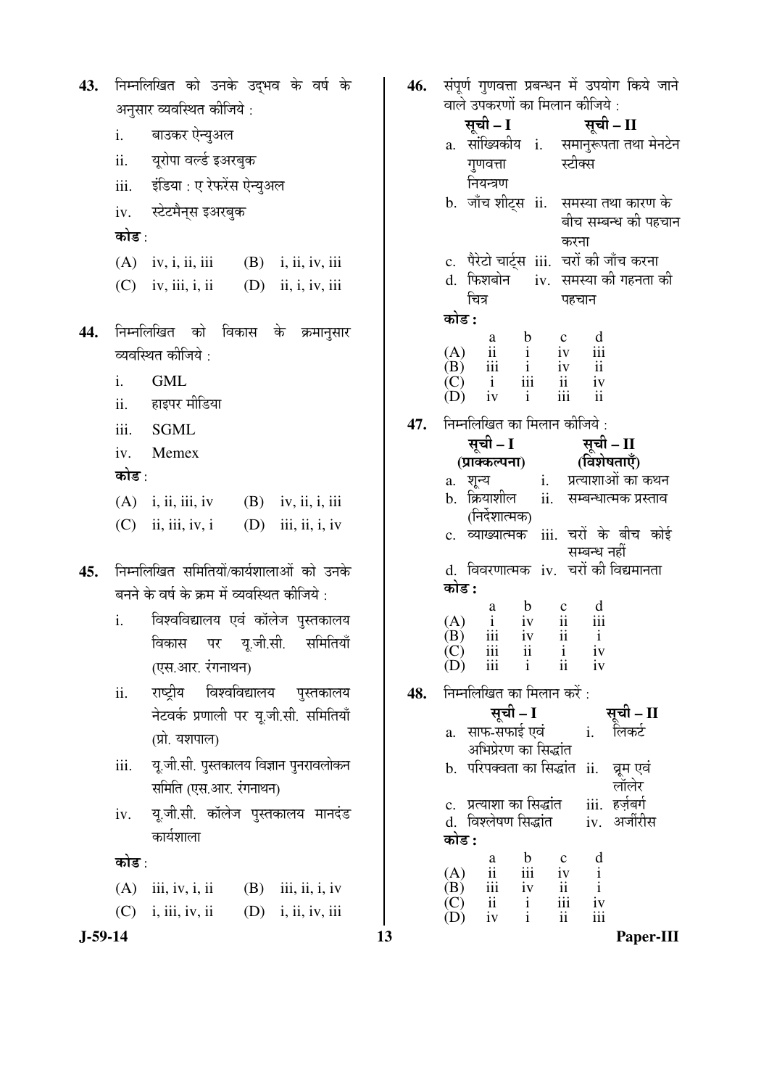**J-59-14 13 Paper-III** 43. निम्नलिखित को उनके उद्भव के वर्ष के अनुसार व्यवस्थित कीजिये : i. बाउकर ऐन्युअल ii. यूरोपा वर्ल्ड इअरबुक iii. इंडिया : ए रेफरेंस ऐन्युअल iv. स्टेटमैन्स इअरबुक कोड $\cdot$ (A) iv, i, ii, iii (B) i, ii, iv, iii  $(C)$  iv, iii, i, ii  $(D)$  ii, i, iv, iii 44. निम्नलिखित को विकास के क्रमानुसार व्यवस्थित कीजिये : i. GML ii. हाइपर मीडिया iii. SGML iv. Memex कोड $\cdot$ (A) i, ii, iii, iv (B) iv, ii, i, iii  $(C)$  ii, iii, iv, i  $(D)$  iii, ii, i, iv 45. निम्नलिखित समितियों/कार्यशालाओं को उनके बनने के वर्ष के क्रम में व्यवस्थित कीजिये : i. विश्वविद्यालय एवं कॉलेज पुस्तकालय विकास पर य.जी.सी. समितियाँ (एस.आर. रंगनाथन) ii. राष्ट्रीय विश्वविद्यालय पुस्तकालय नेटवर्क प्रणाली पर यू.जी.सी. समितियाँ (प्रो. यशपाल) iii. यू.जी.सी. पुस्तकालय विज्ञान पुनरावलोकन समिति (एस.आर. रंगनाथन) iv. यू.जी.सी. कॉलेज पुस्तकालय मानदंड कार्यशाला कोड : (A) iii, iv, i, ii (B) iii, ii, iv  $(C)$  i, iii, iv, ii  $(D)$  i, ii, iv, iii

46. संपर्ण गणवत्ता प्रबन्धन में उपयोग किये जाने वाले उपकरणों का मिलान कीजिये : ÃÖæ"Öß **– I** ÃÖæ"Öß **– II** a. सांख्यिकीय i. गुणवत्ता नियन्त्रण समानुरूपता तथा मेनटेन स्टीक्स b. जाँच शीट्स ii. समस्या तथा कारण के बीच सम्बन्ध की पहचान करना c. पैरेटो चार्टस iii. चरों की जाँच करना d. फिशबोन चित्र iv. समस्या की गहनता की पहचान 󜅐ݟ **:** a b c d (A) ii i iv iii  $(B)$  iii i iv ii  $(C)$  i iii ii iv  $(D)$  iv i iii ii **47.** निम्नलिखित का मिलान कीजिये : सूची – I (प्राक्कल्पना) <u>सूची – II</u> *(विशेषताएँ)* a. ¿Öæ®µÖ i. ¯ÖÏŸµÖÖ¿ÖÖ†Öë ÛúÖ Ûú£Ö®Ö b. क्रियाशील (निर्देशात्मक) ii. सम्बन्धात्मक प्रस्ताव c. व्याख्यात्मक iii. चरों के बीच कोई सम्बन्ध नहीं d. विवरणात्मक iv. चरों की विद्यमानता <u>कोड़ :</u> a b c d  $\begin{array}{cccc} (A) & i & iv & ii & iii \\ (B) & iii & iv & ii & i \end{array}$  $(B)$  iii iv  $\begin{matrix} (C) \\ (D) \end{matrix}$  iii ii ii iv  $(D)$  iii i ii iv **48.** निम्नलिखित का मिलान करें : सूची – I सूची – II a. साफ-सफाई एवं अभिप्रेरण का सिद्धांत i. लिकर्ट b. परिपक्वता का सिद्धांत ii. व्रूम एवं लॉलेर<br>iii. हर्जबर्ग c. प्रत्याशा का सिद्धांत iii. हर्ज़बर्ग<br>d. विश्लेषण सिद्धांत iv. अर्जीरीस d. विश्लेषण सिद्धांत 󜅐ݟ **:** a b c d  $(A)$  ii iii iv i<br>  $(B)$  iii iv ii i  $\begin{matrix} \n(B) & \n\text{iii} & \n\text{iv} & \n\text{ii} & \n\text{i} \\
\text{iv} & \n\text{ii} & \n\text{i} & \n\text{iii} & \n\end{matrix}$  $\begin{matrix} (C) & \text{ii} & \text{i} & \text{iii} & \text{iv} \\ (D) & \text{iv} & \text{i} & \text{ii} & \text{iii} \end{matrix}$  $(D)$  iv i ii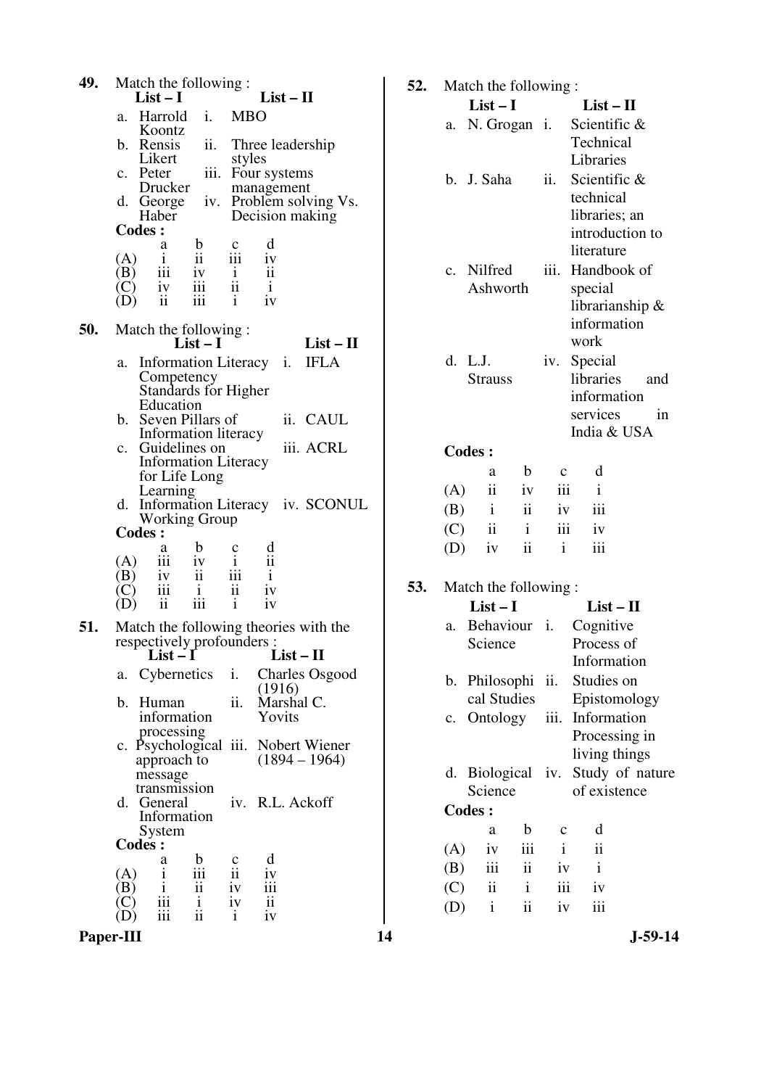| 49.       | Match the following:                                                                                                       | 52. |            | Match the following:          |                               |                    |                           |           |
|-----------|----------------------------------------------------------------------------------------------------------------------------|-----|------------|-------------------------------|-------------------------------|--------------------|---------------------------|-----------|
|           | $List-I$<br>$List-II$<br>a. Harrold<br><b>MBO</b>                                                                          |     |            | $List-I$                      |                               |                    | $List - II$               |           |
|           | $\mathbf{i}$ .<br>Koontz                                                                                                   |     | a.         | N. Grogan i.                  |                               |                    | Scientific &              |           |
|           | b. Rensis<br>Three leadership<br>ii.<br>Likert                                                                             |     |            |                               |                               |                    | Technical                 |           |
|           | styles<br>iii. Four systems<br>c. Peter                                                                                    |     |            |                               |                               |                    | Libraries                 |           |
|           | Drucker<br>management                                                                                                      |     |            | b. J. Saha                    |                               | ii.                | Scientific &<br>technical |           |
|           | iv. Problem solving Vs.<br>d. George<br>Haber<br>Decision making                                                           |     |            |                               |                               |                    | libraries; an             |           |
|           | <b>Codes:</b>                                                                                                              |     |            |                               |                               |                    | introduction to           |           |
|           | d<br>$\mathbf b$<br>a<br>$rac{c}{111}$                                                                                     |     |            |                               |                               |                    | literature                |           |
|           | $\ddot{\mathbf{i}}$<br>iv<br>$\mathbf{i}$<br>(A)<br>iii<br>$\overline{\mathbf{u}}$<br>(B)<br>$\mathbf{i}$<br>iv            |     |            | c. Nilfred                    |                               | iii.               | Handbook of               |           |
|           | $\rm ii$<br>iii<br>$\mathbf{i}$<br>iv<br>(C)                                                                               |     |            | Ashworth                      |                               |                    | special                   |           |
|           | $\overline{\mathbf{u}}$<br>iii<br>iv<br>$\mathbf{i}$<br>(D)                                                                |     |            |                               |                               |                    | librarianship $\&$        |           |
| 50.       | Match the following:                                                                                                       |     |            |                               |                               |                    | information               |           |
|           | $List - II$<br>$List-I$                                                                                                    |     |            |                               |                               |                    | work                      |           |
|           | <b>IFLA</b><br>Information Literacy i.<br>a.                                                                               |     |            | d. L.J.                       |                               |                    | iv. Special               |           |
|           | Competency<br>Standards for Higher                                                                                         |     |            | <b>Strauss</b>                |                               |                    | libraries                 | and       |
|           | Education                                                                                                                  |     |            |                               |                               |                    | information               |           |
|           | ii. CAUL<br>b. Seven Pillars of                                                                                            |     |            |                               |                               |                    | services                  | in        |
|           | Information literacy<br>iii. ACRL<br>c. Guidelines on                                                                      |     |            |                               |                               |                    | India & USA               |           |
|           | <b>Information Literacy</b>                                                                                                |     |            | <b>Codes:</b>                 |                               |                    |                           |           |
|           | for Life Long                                                                                                              |     |            | a<br>$\overline{\textbf{ii}}$ | b                             | $\mathbf c$<br>iii | d<br>$\mathbf{i}$         |           |
|           | Learning<br>d. Information Literacy iv. SCONUL                                                                             |     | (A)<br>(B) | $\mathbf{i}$                  | iv<br>ii                      |                    | iii                       |           |
|           | <b>Working Group</b>                                                                                                       |     |            | ii                            | $\mathbf{i}$                  | iv<br>iii          | iv                        |           |
|           | Codes :<br>$\mathbf b$<br>a                                                                                                |     | (C)<br>(D) | iv                            | $\mathbf{ii}$                 | $\mathbf{i}$       | iii                       |           |
|           | $\frac{d}{i}$<br>$\mathbf c$<br>$\mathbf{i}$<br>iii<br>iv<br>(A)                                                           |     |            |                               |                               |                    |                           |           |
|           | iii<br>$\mathbf{ii}$<br>$\mathbf{i}$<br>(B)<br>iv                                                                          | 53. |            | Match the following:          |                               |                    |                           |           |
|           | iii<br>$\overline{\textbf{ii}}$<br>iv<br>$\mathbf{i}$<br>(C)<br>iii<br>$\mathbf{ii}$<br>$\mathbf{i}$<br>iv<br>(D)          |     |            | $List-I$                      |                               |                    | $List - II$               |           |
| 51.       | Match the following theories with the                                                                                      |     | a.         | Behaviour <i>i</i> .          |                               |                    | Cognitive                 |           |
|           | respectively profounders :                                                                                                 |     |            | Science                       |                               |                    | Process of                |           |
|           | $List-I$<br>$List-II$                                                                                                      |     |            |                               |                               |                    | Information               |           |
|           | Cybernetics<br><b>Charles Osgood</b><br>i.<br>a.<br>(1916)                                                                 |     |            | b. Philosophi ii.             |                               |                    | Studies on                |           |
|           | ii.<br>Marshal C.<br>b. Human                                                                                              |     |            | cal Studies                   |                               |                    | Epistomology              |           |
|           | information<br>Yovits                                                                                                      |     |            | c. Ontology                   |                               |                    | iii. Information          |           |
|           | processing<br>c. Psychological iii. Nobert Wiener                                                                          |     |            |                               |                               |                    | Processing in             |           |
|           | $(1894 - 1964)$<br>approach to                                                                                             |     |            |                               |                               |                    | living things             |           |
|           | message                                                                                                                    |     |            | d. Biological                 |                               | iv.                | Study of nature           |           |
|           | transmission<br>iv. R.L. Ackoff<br>d. General                                                                              |     |            | Science                       |                               |                    | of existence              |           |
|           | Information                                                                                                                |     |            | <b>Codes:</b>                 |                               |                    |                           |           |
|           | System<br><b>Codes:</b>                                                                                                    |     |            | a                             | $\mathbf b$                   | $\mathbf C$        | d                         |           |
|           | d<br>b<br>a                                                                                                                |     | (A)        | iv                            | iii                           | $\mathbf{i}$       | $\mathbf{ii}$             |           |
|           | $\frac{c}{ii}$<br>iii<br>(A)<br>iv<br>$\mathbf{i}$                                                                         |     | (B)        | $\rm iii$                     | $\mathbf{ii}$<br>$\mathbf{i}$ | iv                 | $\mathbf{i}$              |           |
|           | $\overline{\text{iii}}$<br>$\mathbf{i}$<br>$\mathbf{ii}$<br>iv<br>(B)<br>iii<br>$\mathbf{ii}$<br>$\mathbf{i}$<br>iv<br>(C) |     | (C)        | $\rm ii$<br>$\mathbf{i}$      | $\overline{\textbf{ii}}$      | iii                | iv                        |           |
|           | $\mathbf{ii}$<br>$\mathbf{i}$<br>iii<br>iv<br>(D)                                                                          |     | (D)        |                               |                               | iv                 | $\,$ iii                  |           |
| Paper-III |                                                                                                                            | 14  |            |                               |                               |                    |                           | $J-59-14$ |

| 52. |                                                 | Match the following:    |              |              |                                |  |  |  |
|-----|-------------------------------------------------|-------------------------|--------------|--------------|--------------------------------|--|--|--|
|     |                                                 | $List-I$                |              |              | $List-II$                      |  |  |  |
|     | a.                                              | N. Grogan <i>i</i> .    |              |              | Scientific &                   |  |  |  |
|     |                                                 |                         |              |              | Technical                      |  |  |  |
|     |                                                 |                         |              |              | Libraries                      |  |  |  |
|     |                                                 | b. J. Saha              |              | ii.          | Scientific &                   |  |  |  |
|     |                                                 |                         |              |              | technical                      |  |  |  |
|     |                                                 |                         |              |              | libraries; an                  |  |  |  |
|     |                                                 |                         |              |              | introduction to                |  |  |  |
|     |                                                 |                         |              |              | literature                     |  |  |  |
|     |                                                 | c. Nilfred              |              | iii.         | Handbook of                    |  |  |  |
|     |                                                 | Ashworth                |              |              | special                        |  |  |  |
|     |                                                 |                         |              |              | librarianship &<br>information |  |  |  |
|     |                                                 |                         |              |              | work                           |  |  |  |
|     |                                                 | d. L.J.                 |              |              | iv. Special                    |  |  |  |
|     |                                                 | <b>Strauss</b>          |              |              | libraries<br>and               |  |  |  |
|     |                                                 |                         |              |              | information                    |  |  |  |
|     |                                                 |                         |              |              | services<br><sub>in</sub>      |  |  |  |
|     |                                                 |                         |              |              | India & USA                    |  |  |  |
|     |                                                 | <b>Codes:</b>           |              |              |                                |  |  |  |
|     |                                                 | a                       | b            | $\mathbf c$  | d                              |  |  |  |
|     | (A)                                             | ii                      | iv           | iii          | Ť                              |  |  |  |
|     | (B)                                             | $\mathbf{i}$            | ii           | iv           | iii                            |  |  |  |
|     | (C)                                             | $\overline{\mathbf{u}}$ | $\mathbf{i}$ | iii          | iv                             |  |  |  |
|     | (D)                                             | iv                      | ii           | $\mathbf{i}$ | iii                            |  |  |  |
| 53. |                                                 |                         |              |              |                                |  |  |  |
|     | Match the following:<br>$List-I$<br>$List - II$ |                         |              |              |                                |  |  |  |
|     | a.                                              | Behaviour i.            |              |              | Cognitive                      |  |  |  |
|     |                                                 | Science                 |              |              | Process of                     |  |  |  |
|     |                                                 |                         |              |              | Information                    |  |  |  |
|     | b.                                              | Philosophi              |              | ii.          | Studies on                     |  |  |  |
|     |                                                 | cal Studies             |              |              | Epistomology                   |  |  |  |
|     | c.                                              | Ontology                |              | iii.         | Information                    |  |  |  |
|     |                                                 |                         |              |              | Processing in                  |  |  |  |
|     |                                                 |                         |              |              | living things                  |  |  |  |
|     | d.                                              | <b>Biological</b>       |              | iv.          | Study of nature                |  |  |  |
|     |                                                 | Science                 |              |              | of existence                   |  |  |  |
|     |                                                 | <b>Codes:</b>           |              |              |                                |  |  |  |
|     |                                                 | a                       | $\mathbf b$  | с            | d                              |  |  |  |
|     | (A)                                             | iv                      | iii          | $\mathbf{i}$ | ii                             |  |  |  |
|     | (B)                                             | iii                     | ii           | iv           | $\mathbf{i}$                   |  |  |  |
|     | (C)                                             | ii                      | $\mathbf{i}$ | iii          | iv                             |  |  |  |
|     | (D)                                             | $\mathbf{i}$            | ii           | iv           | iii                            |  |  |  |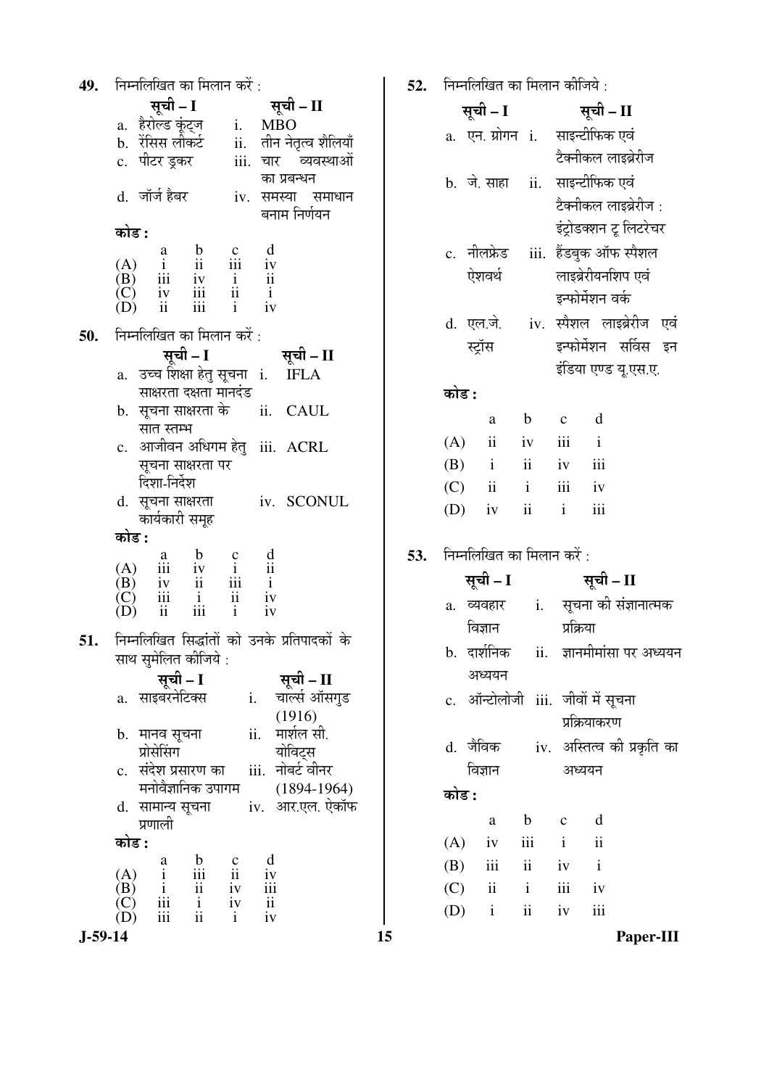|            | <b>49.</b> निम्नलिखित का मिलान करें :                                                                                                                                 |                                                         |                                                       |
|------------|-----------------------------------------------------------------------------------------------------------------------------------------------------------------------|---------------------------------------------------------|-------------------------------------------------------|
|            | सूची - I                                                                                                                                                              |                                                         | सूची – II                                             |
|            |                                                                                                                                                                       |                                                         |                                                       |
|            | <b>सूची – I सूची – II</b><br>a. हैरोल्ड कूंट्ज      i.    MBO<br>b.  रॅसिस लीकर्ट        ii.   तीन नेतृत्व शैलियाँ<br>c.  पीटर ड्रकर          iii.  चार    व्यवस्थाओं |                                                         |                                                       |
|            |                                                                                                                                                                       |                                                         |                                                       |
|            |                                                                                                                                                                       |                                                         | का प्रबन्धन                                           |
|            | d. जॉर्ज हैबर        iv. समस्या समाधान                                                                                                                                |                                                         |                                                       |
|            |                                                                                                                                                                       |                                                         | बनाम निर्णयन                                          |
|            | कोड :                                                                                                                                                                 |                                                         |                                                       |
|            | $\begin{array}{ccccccccc} & & a & b & c & d \\ (A) & i & ii & iii & iv \\ (B) & iii & iv & i & ii \\ (C) & iv & iii & ii & i \\ (D) & ii & iii & i & iv \end{array}$  |                                                         |                                                       |
|            |                                                                                                                                                                       |                                                         |                                                       |
|            |                                                                                                                                                                       |                                                         |                                                       |
|            |                                                                                                                                                                       |                                                         |                                                       |
| <b>50.</b> | निम्नलिखित का मिलान करें :                                                                                                                                            |                                                         |                                                       |
|            | सूची - I                                                                                                                                                              |                                                         | सूची – II                                             |
|            | a. उच्च शिक्षा हेतु सूचना i. IFLA                                                                                                                                     |                                                         |                                                       |
|            | साक्षरता दक्षता मानदंड<br>b.  सूचना साक्षरता के      ii.   CAUL                                                                                                       |                                                         |                                                       |
|            | सात स्तम्भ                                                                                                                                                            |                                                         |                                                       |
|            | c. आजीवन अधिगम हेतु iii. ACRL                                                                                                                                         |                                                         |                                                       |
|            | सूचना साक्षरता पर                                                                                                                                                     |                                                         |                                                       |
|            | दिशा-निर्देश                                                                                                                                                          |                                                         |                                                       |
|            | d. सूचना साक्षरता iv. SCONUL                                                                                                                                          |                                                         |                                                       |
|            | कार्यकारी समूह                                                                                                                                                        |                                                         |                                                       |
|            | कोड :                                                                                                                                                                 |                                                         |                                                       |
|            | $\begin{array}{ccccccccc} & & a & b & c & d\\ (A) & iii & iv & i & ii\\ (B) & iv & ii & iii & i\\ (C) & iii & i & ii & iv\\ (D) & ii & iii & i & iv \end{array}$      |                                                         |                                                       |
|            |                                                                                                                                                                       |                                                         |                                                       |
|            |                                                                                                                                                                       |                                                         |                                                       |
|            |                                                                                                                                                                       |                                                         |                                                       |
|            | 51. निम्नलिखित सिद्धांतों को उनके प्रतिपादकों के                                                                                                                      |                                                         |                                                       |
|            | साथ सुमेलित क <mark>ी</mark> जिये :                                                                                                                                   |                                                         |                                                       |
|            | सूची - I                                                                                                                                                              |                                                         | सूची – II                                             |
|            | साइबरनेटिक्स<br>a.                                                                                                                                                    |                                                         | चार्ल्स ऑसगुड<br>i.                                   |
|            | b.  मानव सूचना                                                                                                                                                        |                                                         | (1916)<br>मार्शल सी.<br>ii.                           |
|            | प्रोसेसिंग                                                                                                                                                            |                                                         | योविट्स                                               |
|            | c.   संदेश प्रसारण का                                                                                                                                                 |                                                         | iii. नोबर्ट वीनर                                      |
|            | मनोवैज्ञानिक उपागम                                                                                                                                                    |                                                         | $(1894-1964)$                                         |
|            | सामान्य सूचना<br>d.                                                                                                                                                   |                                                         | iv. आर.एल. ऐकॉफ                                       |
|            | प्रणाली                                                                                                                                                               |                                                         |                                                       |
|            | कोड :                                                                                                                                                                 |                                                         |                                                       |
|            | $\mathbf b$<br>$\begin{array}{c}\n a \\  i \\  ii \\  iii \\  iii\n \end{array}$<br>(A)                                                                               | $\begin{array}{c} c \\ ii \\ iv \\ iv \\ i \end{array}$ | $\mathbf d$<br>iv                                     |
|            | $\frac{1}{11}$<br>$\frac{1}{11}$<br>$\frac{1}{11}$<br>(B)<br>(C)<br>(D)                                                                                               |                                                         | $\overline{ii}$<br>$\overline{ii}$<br>$\overline{iv}$ |
|            |                                                                                                                                                                       |                                                         |                                                       |
|            |                                                                                                                                                                       |                                                         |                                                       |

| निम्नलिखित का मिलान कीजिये : |                            |                         |              |                                            |  |  |  |
|------------------------------|----------------------------|-------------------------|--------------|--------------------------------------------|--|--|--|
|                              | सूची – I                   |                         |              | सूची – II                                  |  |  |  |
|                              |                            |                         |              | a. एन.ग्रोगन i.  साइन्टीफिक एवं            |  |  |  |
|                              |                            |                         |              | टैक्नीकल लाइब्रेरीज                        |  |  |  |
|                              | b. जे. साहा                |                         |              | ii. साइन्टीफिक एवं                         |  |  |  |
|                              |                            |                         |              | टैक्नीकल लाइब्रेरीज :                      |  |  |  |
|                              |                            |                         |              | इंट्रोडक्शन टू लिटरेचर                     |  |  |  |
|                              | c. नीलफ्रेड                |                         |              | iii. हैंडबुक ऑफ स्पैशल                     |  |  |  |
|                              | ऐशवर्थ                     |                         |              | लाइब्रेरीयनशिप एवं                         |  |  |  |
|                              |                            |                         |              | इन्फोर्मेशन वर्क                           |  |  |  |
| d. एल.जे.                    |                            |                         |              | iv. स्पैशल लाइब्रेरीज एवं                  |  |  |  |
|                              | स्ट्रॉस                    |                         |              | इन्फोर्मेशन सर्विस इन                      |  |  |  |
|                              |                            |                         |              | इंडिया एण्ड यू.एस.ए.                       |  |  |  |
| कोड :                        |                            |                         |              |                                            |  |  |  |
|                              | a                          | $\mathbf b$             | $\mathbf{C}$ | d                                          |  |  |  |
|                              | $(A)$ ii                   | iv iii                  |              | $\mathbf{i}$                               |  |  |  |
| $(B)$ i                      |                            | ii iv                   |              | $\overline{\mathbf{iii}}$                  |  |  |  |
| $(C)$ ii                     |                            | <i>i iii iv</i>         |              |                                            |  |  |  |
| $(D)$ iv                     |                            | $\overline{\mathbf{u}}$ | $\mathbf{i}$ | iii                                        |  |  |  |
|                              |                            |                         |              |                                            |  |  |  |
|                              | निम्नलिखित का मिलान करें : |                         |              |                                            |  |  |  |
|                              | सूची – I                   |                         |              | सूची – II                                  |  |  |  |
|                              |                            |                         |              | a. व्यवहार     i.    सूचना की संज्ञानात्मक |  |  |  |
|                              | विज्ञान                    |                         | प्रक्रिया    |                                            |  |  |  |
|                              |                            |                         |              | b. दार्शनिक ii. ज्ञानमीमांसा पर अध्ययन     |  |  |  |
|                              | अध्ययन                     |                         |              |                                            |  |  |  |
|                              |                            |                         |              | c. ऑन्टोलोजी iii. जीवों में सूचना          |  |  |  |
|                              |                            |                         |              | प्रक्रियाकरण                               |  |  |  |
|                              | d. जैविक                   |                         |              | iv.  अस्तित्व की प्रकृति का                |  |  |  |
|                              | विज्ञान                    |                         |              | अध्ययन                                     |  |  |  |
| कोड :                        |                            |                         |              |                                            |  |  |  |
|                              | a                          | $b$ c                   |              | $\mathbf d$                                |  |  |  |
|                              | $(A)$ iv iii i             |                         |              | $\overline{\mathbf{i}}$                    |  |  |  |
|                              | $(B)$ iii ii iv            |                         |              | $\mathbf{i}$                               |  |  |  |
|                              | $(C)$ ii i iii iv          |                         |              |                                            |  |  |  |
|                              | $(D)$ i ii iv              |                         |              | iii                                        |  |  |  |
|                              |                            |                         |              |                                            |  |  |  |

 $J-59-14$ 

 $15$ 

52.

53.

Paper-III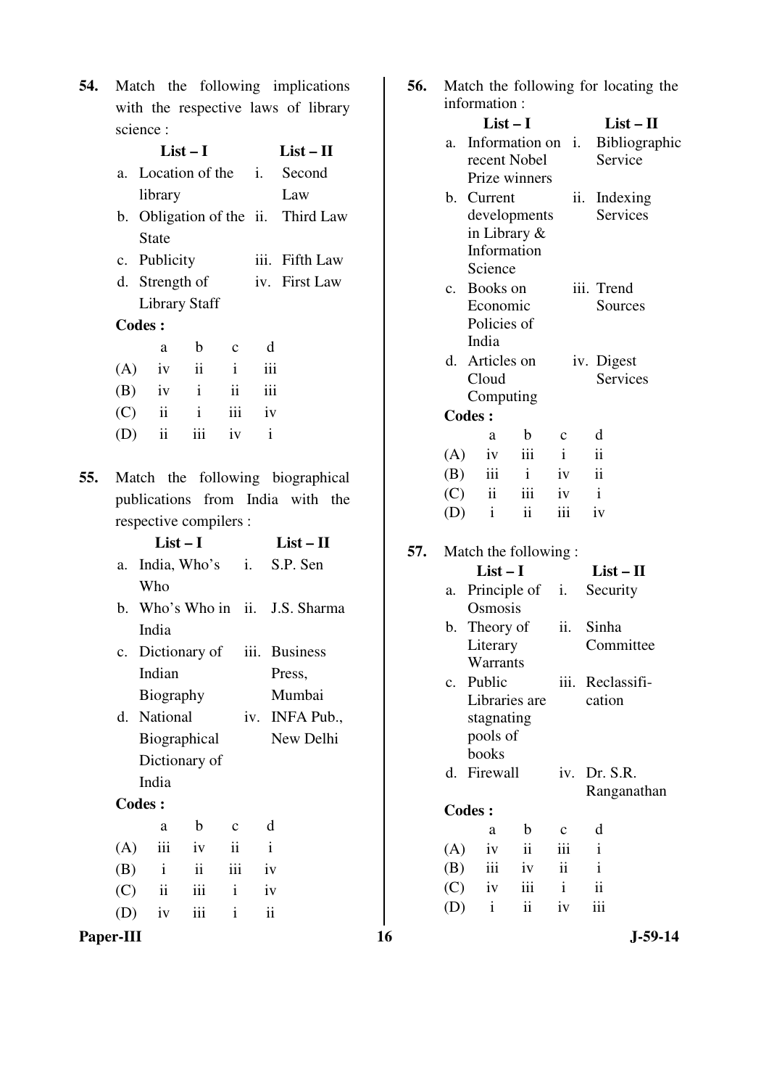|           | <b>54.</b> Match the following implications |
|-----------|---------------------------------------------|
|           | with the respective laws of library         |
| science : |                                             |

|     |            | $List-I$               |                 | $List - II$       |              |                                    |
|-----|------------|------------------------|-----------------|-------------------|--------------|------------------------------------|
|     |            |                        |                 |                   |              | a. Location of the i. Second       |
|     |            | library                |                 |                   |              | Law                                |
|     |            |                        |                 |                   |              | b. Obligation of the ii. Third Law |
|     |            | <b>State</b>           |                 |                   |              |                                    |
|     |            | c. Publicity           |                 |                   |              | iii. Fifth Law                     |
|     |            | d. Strength of         |                 |                   |              | iv. First Law                      |
|     |            | <b>Library Staff</b>   |                 |                   |              |                                    |
|     |            | <b>Codes:</b>          |                 |                   |              |                                    |
|     |            | a                      | $\mathbf{b}$    | $\mathbf{C}$      | d            |                                    |
|     |            | $(A)$ iv ii i          |                 |                   | iii          |                                    |
|     |            | $(B)$ iv i ii          |                 |                   | iii          |                                    |
|     |            | $(C)$ ii ii iii iv     |                 |                   |              |                                    |
|     |            | $(D)$ ii               |                 | iii iv i          |              |                                    |
|     |            |                        |                 |                   |              |                                    |
| 55. |            |                        |                 |                   |              | Match the following biographical   |
|     |            |                        |                 |                   |              | publications from India with the   |
|     |            | respective compilers : |                 |                   |              |                                    |
|     |            | $List-I$               |                 |                   |              | $List-II$                          |
|     |            |                        |                 |                   |              | a. India, Who's i. S.P. Sen        |
|     |            | Who                    |                 |                   |              |                                    |
|     |            |                        |                 |                   |              | b. Who's Who in ii. J.S. Sharma    |
|     |            | India                  |                 |                   |              |                                    |
|     |            |                        |                 |                   |              |                                    |
|     |            |                        |                 |                   |              | c. Dictionary of iii. Business     |
|     |            | Indian                 |                 |                   |              | Press,                             |
|     |            | <b>Biography</b>       |                 |                   |              | Mumbai                             |
|     |            | d. National            |                 |                   |              | iv. INFA Pub.                      |
|     |            | Biographical           |                 |                   |              | New Delhi                          |
|     |            | Dictionary of          |                 |                   |              |                                    |
|     |            | India                  |                 |                   |              |                                    |
|     |            | <b>Codes:</b>          |                 |                   |              |                                    |
|     |            | a                      | $\mathbf b$     | $\mathbf c$       | d            |                                    |
|     | (A)        | iii                    | iv              | $\ddot{\rm n}$    | $\mathbf{i}$ |                                    |
|     | (B)        | $\mathbf{i}$           | $\ddot{\rm ii}$ | iii               | iv           |                                    |
|     | (C)<br>(D) | ii<br>iv               | iii<br>iii      | $\mathbf{i}$<br>i | iv<br>ii     |                                    |

| 56. | Match the following for locating the<br>information: |                          |              |              |                          |               |  |  |
|-----|------------------------------------------------------|--------------------------|--------------|--------------|--------------------------|---------------|--|--|
|     |                                                      | $List-I$                 |              |              |                          | $List-II$     |  |  |
|     | а.                                                   | Information on i.        |              |              |                          | Bibliographic |  |  |
|     |                                                      | recent Nobel             |              |              | Service                  |               |  |  |
|     |                                                      | Prize winners            |              |              |                          |               |  |  |
|     |                                                      | b. Current               |              |              | Indexing<br>ii.          |               |  |  |
|     |                                                      | developments             |              |              | <b>Services</b>          |               |  |  |
|     |                                                      | in Library &             |              |              |                          |               |  |  |
|     |                                                      | Information              |              |              |                          |               |  |  |
|     |                                                      | Science                  |              |              |                          |               |  |  |
|     |                                                      | c. Books on              |              |              | iii. Trend               |               |  |  |
|     |                                                      | Economic                 |              |              | Sources                  |               |  |  |
|     |                                                      | Policies of              |              |              |                          |               |  |  |
|     |                                                      | India                    |              |              |                          |               |  |  |
|     |                                                      | d. Articles on           |              |              | iv. Digest               |               |  |  |
|     |                                                      | Cloud                    |              |              | <b>Services</b>          |               |  |  |
|     |                                                      | Computing                |              |              |                          |               |  |  |
|     |                                                      | <b>Codes:</b>            |              |              |                          |               |  |  |
|     |                                                      | a                        | $\mathbf b$  | c            | d                        |               |  |  |
|     | (A)                                                  | iv                       | iii          | $\mathbf{i}$ | $\ddot{\mathbf{i}}$      |               |  |  |
|     | (B)                                                  | iii t                    | $\mathbf{i}$ | iv           | $\overline{\mathbf{ii}}$ |               |  |  |
|     | (C)                                                  | $\overline{\mathbf{ii}}$ | iii          | iv           | $\mathbf{i}$             |               |  |  |
|     | (D)                                                  | $\mathbf{i}$             | ii           | iii          | iv                       |               |  |  |
| 57. |                                                      | Match the following:     |              |              |                          |               |  |  |
|     |                                                      | $List-I$                 |              |              | $List - II$              |               |  |  |
|     | a.                                                   | Principle of i.          |              |              | Security                 |               |  |  |
|     |                                                      | Osmosis                  |              |              |                          |               |  |  |
|     | b.                                                   | Theory of                |              | ii.          | Sinha                    |               |  |  |
|     |                                                      | Literary                 |              |              | Committee                |               |  |  |
|     |                                                      | Warrants                 |              |              |                          |               |  |  |
|     | $\mathbf{c}$ .                                       | Public                   |              | iii.         | Reclassifi-              |               |  |  |
|     |                                                      | Libraries are            |              |              | cation                   |               |  |  |
|     |                                                      | stagnating               |              |              |                          |               |  |  |
|     |                                                      | pools of                 |              |              |                          |               |  |  |
|     |                                                      | books                    |              |              |                          |               |  |  |
|     |                                                      | d. Firewall              |              |              | iv. Dr. S.R.             |               |  |  |

Ranganathan

**Codes :**  a b c d (A) iv ii iii i<br>(B) iii iv ii i

(B) iii iv ii i<br>(C) iv iii i ii  $\overrightarrow{C}$  iv iii i ii<br>  $\overrightarrow{D}$  i ii iv iii

**Paper-III** 16 J-59-14

 $(D)$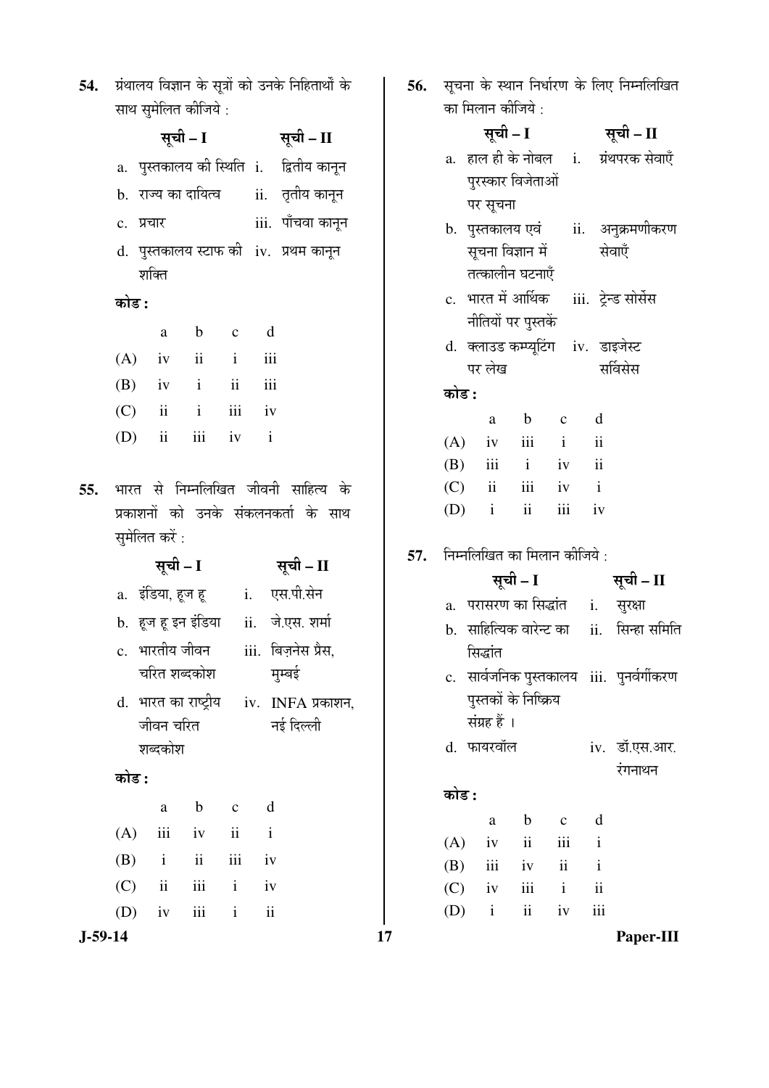| 54. ग्रंथालय विज्ञान के सूत्रों को उनके निहितार्थों के |
|--------------------------------------------------------|
| साथ सुमेलित कीजिये :                                   |

|     |       |           | सूची – I       |                   |              |                    | सूची – II                                                                  |
|-----|-------|-----------|----------------|-------------------|--------------|--------------------|----------------------------------------------------------------------------|
|     |       |           |                |                   |              |                    | a. पुस्तकालय की स्थिति i. द्वितीय कानून                                    |
|     |       |           |                |                   |              |                    | b.  राज्य का दायित्व         ii.    तृतीय कानून                            |
|     |       | c. प्रचार |                |                   |              |                    | iii. पाँचवा कानून                                                          |
|     |       | शक्ति     |                |                   |              |                    | d.  पुस्तकालय स्टाफ की   iv.   प्रथम कानून                                 |
|     | कोड : |           |                |                   |              |                    |                                                                            |
|     |       |           |                | a b c d           |              |                    |                                                                            |
|     |       |           |                | $(A)$ iv ii i iii |              |                    |                                                                            |
|     |       |           |                | $(B)$ iv i ii iii |              |                    |                                                                            |
|     |       |           |                | $(C)$ ii i        |              | iii iv             |                                                                            |
|     |       |           |                | $(D)$ ii iii iv i |              |                    |                                                                            |
| 55. |       |           | सुमेलित करें : |                   |              |                    | भारत से निम्नलिखित जीवनी साहित्य के<br>प्रकाशनों को उनके संकलनकर्ता के साथ |
|     |       |           | सूची – I       |                   |              |                    | सूची – II                                                                  |
|     |       |           |                |                   |              |                    | a. इंडिया, हूज हू <sub>.</sub> i. एस.पी.सेन                                |
|     |       |           |                |                   |              |                    | b. हूज हू इन इंडिया ii. जे.एस. शर्मा                                       |
|     |       |           |                | c.   भारतीय जीवन  |              |                    | iii. बिज़नेस प्रैस,                                                        |
|     |       |           |                | चरित शब्दकोश      |              |                    | मुम्बई                                                                     |
|     |       |           |                |                   |              |                    |                                                                            |
|     |       |           |                |                   |              |                    | d. भारत का राष्ट्रीय    iv. INFA प्रकाशन,                                  |
|     |       |           | जीवन चरित      |                   |              |                    | नई दिल्ली                                                                  |
|     |       |           | शब्दकोश        |                   |              |                    |                                                                            |
|     | कोड : |           |                |                   |              |                    |                                                                            |
|     |       |           | $\rm{a}$       | $\bf b$           | $\mathbf{C}$ | $\mathbf d$        |                                                                            |
|     | (A)   |           |                | iii iv ii         | iii          | $\mathbf{i}$<br>iv |                                                                            |
|     | (B)   |           | $(C)$ ii       | $i$ $ii$<br>iii   | $\mathbf{i}$ | iv                 |                                                                            |
|     |       |           | $(D)$ iv       | iii               | $\mathbf{i}$ | $\rm ii$           |                                                                            |

56. सूचना के स्थान निर्धारण के लिए निम्नलिखित का मिलान कीजिये  $\cdot$ 

|     | सूची – I  |          |              |                                    |              | सूची – II               |     |                                              |  |
|-----|-----------|----------|--------------|------------------------------------|--------------|-------------------------|-----|----------------------------------------------|--|
|     |           |          |              |                                    |              |                         |     | a. हाल ही के नोबल <i>i. प्रं</i> थपरक सेवाएँ |  |
|     |           |          |              | पुरस्कार विजेताओं                  |              |                         |     |                                              |  |
|     |           | पर सूचना |              |                                    |              |                         |     |                                              |  |
|     |           |          |              |                                    |              |                         |     | b. पुस्तकालय एवं ii. अनुक्रमणीकरण            |  |
|     |           |          |              | सूचना विज्ञान में                  |              |                         |     | सेवाएँ                                       |  |
|     |           |          |              | तत्कालीन घटनाएँ                    |              |                         |     |                                              |  |
|     |           |          |              | c.  भारत में आर्थिक                |              |                         |     | iii. ट्रेन्ड सोर्सेस                         |  |
|     |           |          |              | नीतियों पर पुस्तकें                |              |                         |     |                                              |  |
|     |           |          |              | d. क्लाउड कम्प्यूटिंग iv. डाइजेस्ट |              |                         |     |                                              |  |
|     |           |          | पर लेख       |                                    |              |                         |     | सर्विसेस                                     |  |
|     | कोड :     |          |              |                                    |              |                         |     |                                              |  |
|     |           |          |              | a b c                              |              | $\mathbf d$             |     |                                              |  |
|     |           |          |              | $(A)$ iv iii i                     |              | $\overline{\mathbf{u}}$ |     |                                              |  |
|     |           |          |              | $(B)$ iii i iv ii                  |              |                         |     |                                              |  |
|     |           |          |              | $(C)$ ii iii iv i                  |              |                         |     |                                              |  |
|     |           |          |              | $(D)$ i ii                         |              | iii iv                  |     |                                              |  |
|     |           |          |              |                                    |              |                         |     |                                              |  |
| 57. |           |          |              | निम्नलिखित का मिलान कीजिये:        |              |                         |     |                                              |  |
|     |           |          |              | सूची – I                           |              |                         |     | सूची – II                                    |  |
|     |           |          |              |                                    |              |                         |     | a. परासरण का सिद्धांत <u>ai. सु</u> रक्षा    |  |
|     |           |          |              |                                    |              |                         |     | b. साहित्यिक वारेन्ट का ii. सिन्हा समिति     |  |
|     |           |          | सिद्धांत     |                                    |              |                         |     |                                              |  |
|     |           |          |              |                                    |              |                         |     | c. सार्वजनिक पुस्तकालय iii. पुनर्वर्गीकरण    |  |
|     |           |          |              | पुस्तकों के निष्क्रिय              |              |                         |     |                                              |  |
|     |           |          | संग्रह हैं । |                                    |              |                         |     |                                              |  |
|     |           |          | d. फायरवॉल   |                                    |              |                         |     | iv. डॉ.एस.आर.                                |  |
|     |           |          |              |                                    |              |                         |     | रंगनाथन                                      |  |
|     | कोड :     |          |              |                                    |              |                         |     |                                              |  |
|     |           |          | a            | $\mathbf b$                        | $\mathbf{C}$ | d                       |     |                                              |  |
|     | (A)       |          | iv           | $\overrightarrow{\mathbf{i}}$      | iii          | $\mathbf{i}$            |     |                                              |  |
|     | $(B)$ iii |          |              | iv                                 | ii           | $\mathbf{i}$            |     |                                              |  |
|     |           |          | $(C)$ iv     |                                    | $iii$ $i$    |                         | ii  |                                              |  |
|     | $(D)$ i   |          |              | $\mathbf{ii}$                      | iv           |                         | iii |                                              |  |

57.

**J-59-14 17 Paper-III**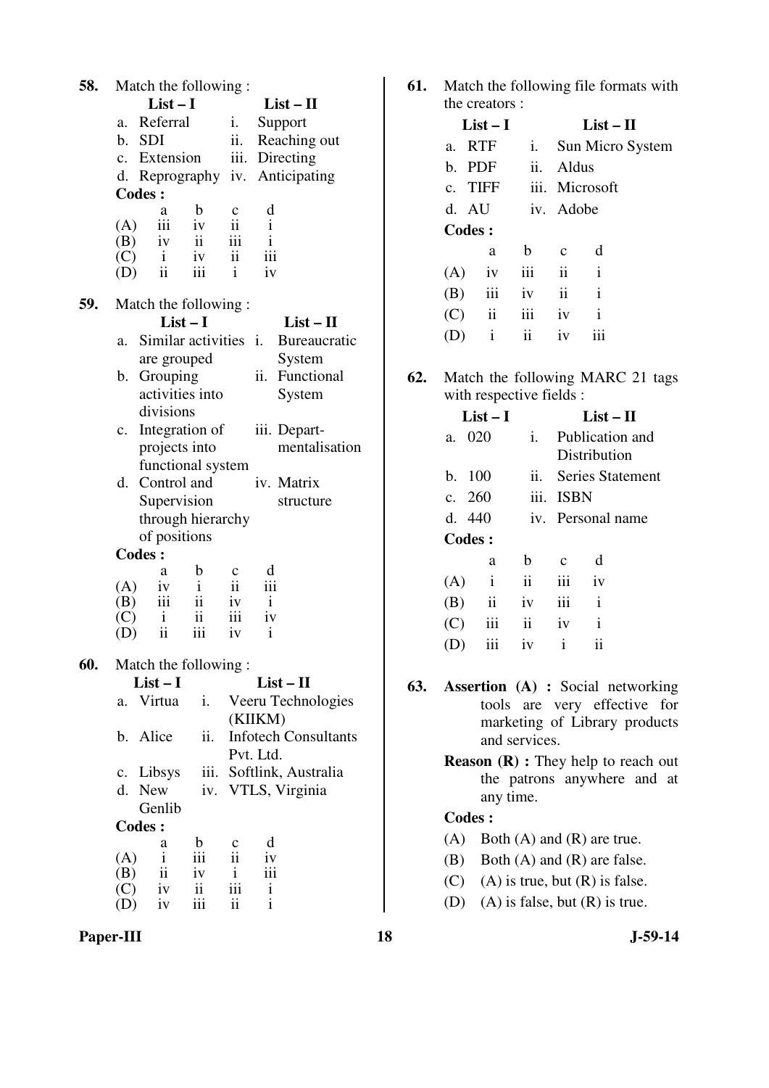| 58. | Match the following:              |                                          |
|-----|-----------------------------------|------------------------------------------|
|     | $List-I$                          | $List-II$                                |
|     | Referral<br>a.                    | Support<br>i.                            |
|     | b. SDI                            | ii.<br>Reaching out                      |
|     | c. Extension                      | iii. Directing                           |
|     |                                   | d. Reprography iv. Anticipating          |
|     | <b>Codes:</b>                     |                                          |
|     | b<br>a                            | d<br>c                                   |
|     | iii iv<br>(A)                     | $\overline{\mathbf{ii}}$<br>$\mathbf{i}$ |
|     | $(B)$ iv ii                       | iii<br>$\mathbf{i}$                      |
|     | iv<br>(C)<br>$\mathbf{i}$         | $\ddot{\mathbf{i}}$<br>iii               |
|     | iii<br>$\ddot{\rm n}$<br>(D)      | iv<br>$\mathbf{i}$                       |
| 59. | Match the following:              |                                          |
|     | $List-I$                          | $List - II$                              |
|     | Similar activities i.<br>a.       | Bureaucratic                             |
|     | are grouped                       | System                                   |
|     | Grouping<br>b.                    | ii. Functional                           |
|     | activities into                   | System                                   |
|     | divisions                         |                                          |
|     | c. Integration of                 | iii. Depart-                             |
|     | projects into                     | mentalisation                            |
|     | functional system                 |                                          |
|     | d. Control and                    | iv. Matrix                               |
|     | Supervision                       | structure                                |
|     | through hierarchy                 |                                          |
|     | of positions                      |                                          |
|     | <b>Codes:</b>                     |                                          |
|     | b<br>a                            | d<br>c                                   |
|     | (A)<br>iv<br>$\mathbf{i}$         | $\rm ii$<br>iii                          |
|     | iii<br>$\ddot{\mathbf{i}}$<br>(B) | $\mathbf{i}$<br>iv                       |
|     | (C)<br>ii<br>$\mathbf{i}$         | iii<br>iv                                |
|     | ii<br>iii<br>(D)                  | iv<br>i                                  |
|     |                                   |                                          |
| 60. | Match the following:              |                                          |
|     | $List-I$                          | $List-II$                                |
|     | Virtua<br>i.<br>a.                | Veeru Technologies                       |
|     |                                   | (KIIKM)                                  |
|     | ii.<br>b. Alice                   | <b>Infotech Consultants</b>              |
|     |                                   | Pvt. Ltd.                                |
|     | c. Libsys                         | iii. Softlink, Australia                 |
|     | New<br>d.<br>iv.<br>Genlib        | VTLS, Virginia                           |
|     |                                   |                                          |
|     | <b>Codes:</b><br>$\mathbf b$<br>a | d<br>c                                   |
|     | $\mathbf{i}$<br>iii<br>(A)        | $\ddot{\mathbf{i}}$<br>iv                |
|     | $\ddot{\mathbf{i}}$<br>(B)<br>iv  | iii<br>$\mathbf{i}$                      |
|     | (C)<br>iv<br>$\mathbf{ii}$        | iii<br>i                                 |
|     | iii<br>iv<br>(D)                  | $\mathbf{i}$<br>ii                       |

Paper-III 18 J-59-14

**61.** Match the following file formats with the creators :

|     | $List-I$      |                         |              | $List-II$      |                  |
|-----|---------------|-------------------------|--------------|----------------|------------------|
|     | a. RTF        | i.                      |              |                | Sun Micro System |
|     | b. PDF        | ii. Aldus               |              |                |                  |
|     | c. TIFF       |                         |              | iii. Microsoft |                  |
|     |               | d. AU iv. Adobe         |              |                |                  |
|     | <b>Codes:</b> |                         |              |                |                  |
|     | a             | $\mathbf b$             | $\mathbf{c}$ | d              |                  |
| (A) | $i\mathbf{v}$ | iii                     | ii           | $\mathbf{i}$   |                  |
| (B) | iii           | iv                      | ii           | $\mathbf{i}$   |                  |
|     | $(C)$ ii      | iii                     | iv           | $\mathbf{i}$   |                  |
|     | $\mathbf{i}$  | $\overline{\mathbf{u}}$ | iv           |                |                  |

**62.** Match the following MARC 21 tags with respective fields :

| $List-I$                       |                         |                   |  |  |  |  |
|--------------------------------|-------------------------|-------------------|--|--|--|--|
| 020<br>a.                      | i.                      | Publication and   |  |  |  |  |
|                                |                         | Distribution      |  |  |  |  |
| b. 100                         | $\overline{11}$ .       | Series Statement  |  |  |  |  |
| c. 260                         |                         | iii. ISBN         |  |  |  |  |
| d. $440$                       |                         | iv. Personal name |  |  |  |  |
| <b>Codes:</b>                  |                         |                   |  |  |  |  |
| a                              | b                       | d<br>$\mathbf{c}$ |  |  |  |  |
| $\mathbf{i}$<br>(A)            | $\ddot{\rm n}$          | iii<br>iv         |  |  |  |  |
| $\overline{\mathbf{u}}$<br>(B) | iv                      | iii<br>i          |  |  |  |  |
| iii<br>(C)                     | $\overline{\mathbf{1}}$ | i<br>iv           |  |  |  |  |
| iii                            | iv                      | i<br>11           |  |  |  |  |

- **63. Assertion (A) :** Social networking tools are very effective for marketing of Library products and services.
	- **Reason** (**R**) : They help to reach out the patrons anywhere and at any time.

- (A) Both (A) and (R) are true.
- (B) Both (A) and (R) are false.
- (C) (A) is true, but  $(R)$  is false.
- (D) (A) is false, but (R) is true.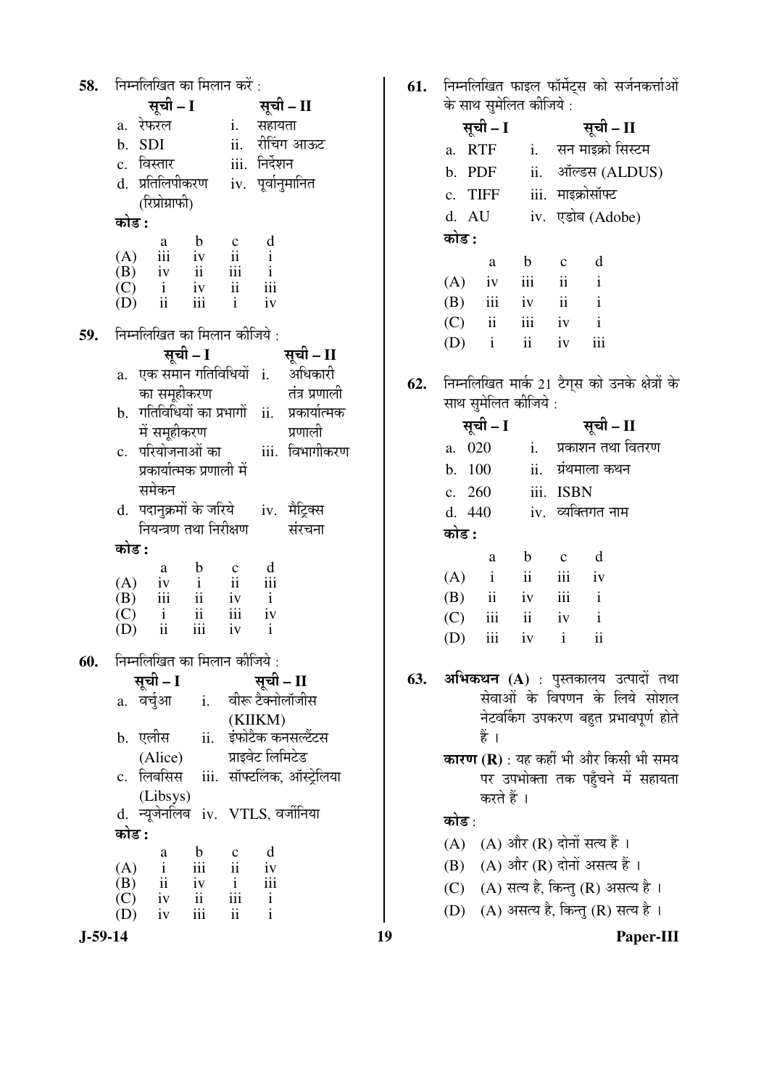| 58. |                | निम्नलिखित का मिलान करें :                                                                                                                                         |                                                                             |                        |                  |                                          |
|-----|----------------|--------------------------------------------------------------------------------------------------------------------------------------------------------------------|-----------------------------------------------------------------------------|------------------------|------------------|------------------------------------------|
|     |                | सूची – I                                                                                                                                                           |                                                                             |                        | सूची – II        |                                          |
|     |                | a. रेफरल                                                                                                                                                           |                                                                             |                        | i. सहायता        |                                          |
|     | b. SDI         |                                                                                                                                                                    |                                                                             |                        |                  | ii. रीचिंग आऊट                           |
|     |                | c. विस्तार                                                                                                                                                         |                                                                             |                        | iii. निर्देशन    |                                          |
|     |                | d. प्रतिलिपीकरण                                                                                                                                                    |                                                                             |                        |                  | iv. पूर्वानुमानित                        |
|     |                | (रिप्रोग्राफी)                                                                                                                                                     |                                                                             |                        |                  |                                          |
|     | कोड :          |                                                                                                                                                                    |                                                                             |                        |                  |                                          |
|     |                |                                                                                                                                                                    |                                                                             |                        |                  |                                          |
|     |                |                                                                                                                                                                    |                                                                             |                        |                  |                                          |
|     |                |                                                                                                                                                                    |                                                                             |                        |                  |                                          |
|     |                |                                                                                                                                                                    |                                                                             |                        |                  |                                          |
|     |                | $\begin{array}{ccccccccc} & & a & b & c & d\\ (A) & iii & iv & ii & i\\ (B) & iv & ii & iii & i\\ (C) & i & iv & ii & iii\\ (D) & ii & iii & i & iv \end{array}$   |                                                                             |                        |                  |                                          |
| 59. |                | निम्नलिखित का मिलान कीजिये :                                                                                                                                       |                                                                             |                        |                  |                                          |
|     |                | सूची - I                                                                                                                                                           |                                                                             |                        |                  | सूची – II                                |
|     |                |                                                                                                                                                                    |                                                                             |                        |                  | a. एक समान गतिविधियों i. अधिकारी         |
|     |                | का समूहीकरण                                                                                                                                                        |                                                                             |                        |                  | तंत्र प्रणाली                            |
|     | b.             |                                                                                                                                                                    |                                                                             |                        |                  | गतिविधियों का प्रभागों ii. प्रकार्यात्मक |
|     |                | में समूहीकरण                                                                                                                                                       |                                                                             |                        |                  | प्रणाली                                  |
|     |                | c.  परियोजनाओं का                                                                                                                                                  |                                                                             |                        |                  | iii. विभागीकरण                           |
|     |                | प्रकार्यात्मक प्रणाली में                                                                                                                                          |                                                                             |                        |                  |                                          |
|     |                | समेकन                                                                                                                                                              |                                                                             |                        |                  |                                          |
|     |                |                                                                                                                                                                    |                                                                             |                        |                  |                                          |
|     | d.             | पदानुक्रमों के जरिये      iv.   मैट्रिक्स<br>नियन्त्रण तथा निरीक्षण                                                                                                |                                                                             |                        |                  | संरचना                                   |
|     | कोड :          |                                                                                                                                                                    |                                                                             |                        |                  |                                          |
|     |                |                                                                                                                                                                    |                                                                             |                        |                  |                                          |
|     |                |                                                                                                                                                                    |                                                                             |                        |                  |                                          |
|     |                |                                                                                                                                                                    |                                                                             |                        |                  |                                          |
|     |                |                                                                                                                                                                    |                                                                             |                        |                  |                                          |
|     |                | $\begin{array}{ccccccccc} & & a & b & c & d\\ (A) & iv & i & ii & iii\\ (B) & iii & ii & iv & i\\ (C) & i & ii & iii & iv\\ (D) & ii & iii & iv & i\\ \end{array}$ |                                                                             |                        |                  |                                          |
| 60. |                | निम्नलिखित का मिलान कीजिये :                                                                                                                                       |                                                                             |                        |                  |                                          |
|     |                | सूची – I                                                                                                                                                           |                                                                             |                        | सूची – II        |                                          |
|     | a.             | वर्चुआ                                                                                                                                                             | $\mathbf{i}$ .                                                              |                        |                  | वीरू टैक्नोलॉजीस                         |
|     |                |                                                                                                                                                                    |                                                                             |                        | (KIIKM)          |                                          |
|     |                | b. एलीस                                                                                                                                                            | ii.                                                                         |                        |                  | इंफोटैक कनसल्टैंटस                       |
|     |                | (Alice)                                                                                                                                                            |                                                                             |                        | प्राइवेट लिमिटेड |                                          |
|     |                | लिबसिस                                                                                                                                                             |                                                                             |                        |                  | iii. सॉफ्टलिंक, ऑस्ट्रेलिया              |
|     | $\mathbf{c}$ . |                                                                                                                                                                    |                                                                             |                        |                  |                                          |
|     | d.             | (Libsys)<br>न्यूजेनलिब iv. VTLS, वर्जीनिया                                                                                                                         |                                                                             |                        |                  |                                          |
|     | कोड :          |                                                                                                                                                                    |                                                                             |                        |                  |                                          |
|     |                |                                                                                                                                                                    | $\mathbf b$                                                                 |                        | d                |                                          |
|     |                | a                                                                                                                                                                  | iii                                                                         | $\frac{c}{ii}$         | iv               |                                          |
|     |                |                                                                                                                                                                    |                                                                             |                        | iii              |                                          |
|     |                | (A) $\frac{d}{d}$<br>(B) $\frac{d}{dx}$<br>(C) iv                                                                                                                  | $\begin{array}{c} \text{i} \text{v} \\ \text{ii} \\ \text{iii} \end{array}$ | $\frac{i}{\text{iii}}$ | $\mathbf{i}$     |                                          |
|     | (D)            | iv                                                                                                                                                                 |                                                                             | $\mathbf{ii}$          | $\mathbf{i}$     |                                          |
|     |                |                                                                                                                                                                    |                                                                             |                        |                  |                                          |

61. निम्नलिखित फाइल फॉर्मेट्स को सर्जनकर्त्ताओं<br>के साथ सुमेलित कीजिये :

|       | सूची - I                |     |                     | सूची – II            |
|-------|-------------------------|-----|---------------------|----------------------|
|       | a. RTF                  |     |                     | i. सन माइक्रो सिस्टम |
|       | b. PDF                  |     |                     | ii. ऑल्डस (ALDUS)    |
|       | c. TIFF                 |     |                     | iii. माइक्रोसॉफ्ट    |
|       | d. AU                   |     |                     | iv. एडोब (Adobe)     |
| कोड : |                         |     |                     |                      |
|       | a                       | b   | $\mathbf c$         | d                    |
| (A)   | iv                      | iii | $\ddot{\mathbf{i}}$ | $\mathbf{i}$         |
|       | $(B)$ iii               | iv  | ii                  | $\mathbf{i}$         |
| (C)   | $\overline{\mathbf{u}}$ | iii | iv                  | $\mathbf{i}$         |
| (D)   | $\mathbf{i}$            | ii  | iv                  |                      |
|       |                         |     |                     |                      |

62. निम्नलिखित मार्क 21 टैग्स को उनके क्षेत्रों के साथ सुमेलित कीजिये :

|       | सूची – I |                         |              | सूची – II         |  |
|-------|----------|-------------------------|--------------|-------------------|--|
|       | a. 020   | $i$ .                   |              | प्रकाशन तथा वितरण |  |
|       | b. 100   |                         |              | ii. ग्रंथमाला कथन |  |
|       | c. 260   |                         | iii. ISBN    |                   |  |
|       | d. 440   |                         |              | iv. व्यक्तिगत नाम |  |
| कोड : |          |                         |              |                   |  |
|       | a        | b                       | $\mathbf{c}$ | d                 |  |
|       | $(A)$ i  | $\overline{\mathbf{u}}$ | iii          | iv                |  |
| (B)   | ii       | iv                      | iii          | $\mathbf{i}$      |  |
| (C)   | iii      | ii                      | iv           |                   |  |

**अभिकथन (A)** : पुस्तकालय उत्पादों तथा<br>सेवाओं के विपणन के लिये सोशल 63. नेटवर्किंग उपकरण बहुत प्रभावपूर्ण होते हैं ।

iv i

 $\overline{\mathbf{i}}$ 

कारण (R) : यह कहीं भी और किसी भी समय पर उपभोक्ता तक पहुँचने में सहायता करते हैं ।

## कोड :

 $(D)$  iii

- (A) (A) और (R) दोनों सत्य हैं ।
- (B) (A) और (R) दोनों असत्य हैं।
- (C) (A) सत्य है, किन्तु (R) असत्य है।
- (D) (A) असत्य है, किन्तु (R) सत्य है।

 $J-59-14$ 

19

Paper-III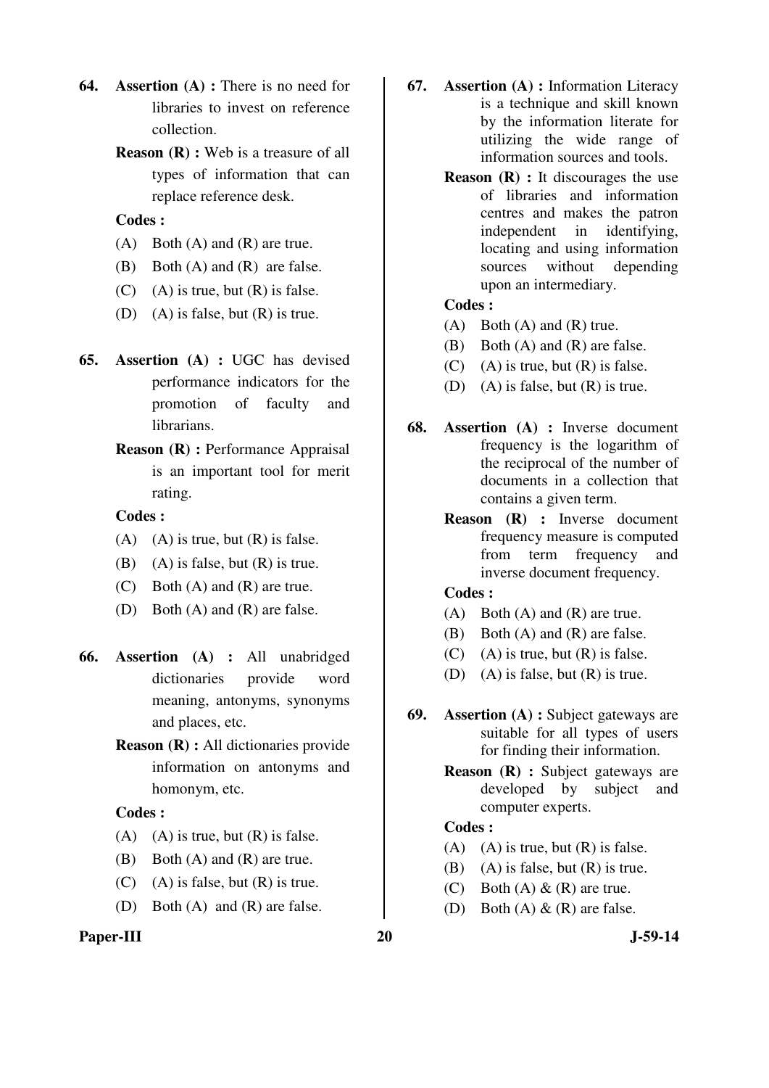- **64. Assertion (A) :** There is no need for libraries to invest on reference collection.
	- **Reason (R) :** Web is a treasure of all types of information that can replace reference desk.

- (A) Both (A) and (R) are true.
- (B) Both (A) and (R) are false.
- $(C)$  (A) is true, but  $(R)$  is false.
- (D) (A) is false, but  $(R)$  is true.
- **65. Assertion (A) :** UGC has devised performance indicators for the promotion of faculty and librarians.
	- **Reason (R) :** Performance Appraisal is an important tool for merit rating.

## **Codes :**

- (A) (A) is true, but  $(R)$  is false.
- (B) (A) is false, but  $(R)$  is true.
- (C) Both (A) and (R) are true.
- (D) Both (A) and (R) are false.
- **66. Assertion (A) :** All unabridged dictionaries provide word meaning, antonyms, synonyms and places, etc.
	- **Reason (R) :** All dictionaries provide information on antonyms and homonym, etc.

## **Codes :**

- (A) (A) is true, but  $(R)$  is false.
- (B) Both (A) and (R) are true.
- $(C)$  (A) is false, but  $(R)$  is true.
- (D) Both (A) and (R) are false.

#### Paper-III 20 J-59-14

- **67. Assertion (A) :** Information Literacy is a technique and skill known by the information literate for utilizing the wide range of information sources and tools.
	- **Reason (R)** : It discourages the use of libraries and information centres and makes the patron independent in identifying, locating and using information sources without depending upon an intermediary.

#### **Codes :**

- (A) Both (A) and (R) true.
- (B) Both (A) and (R) are false.
- $(C)$  (A) is true, but  $(R)$  is false.
- (D) (A) is false, but  $(R)$  is true.
- **68. Assertion (A) :** Inverse document frequency is the logarithm of the reciprocal of the number of documents in a collection that contains a given term.
	- **Reason (R) :** Inverse document frequency measure is computed from term frequency and inverse document frequency.

#### **Codes :**

- (A) Both (A) and (R) are true.
- (B) Both (A) and (R) are false.
- $(C)$  (A) is true, but  $(R)$  is false.
- (D) (A) is false, but (R) is true.
- **69. Assertion (A) :** Subject gateways are suitable for all types of users for finding their information.
	- **Reason (R) : Subject gateways are** developed by subject and computer experts.

- (A) (A) is true, but  $(R)$  is false.
- (B) (A) is false, but  $(R)$  is true.
- (C) Both (A)  $\&$  (R) are true.
- (D) Both  $(A) \& R$  are false.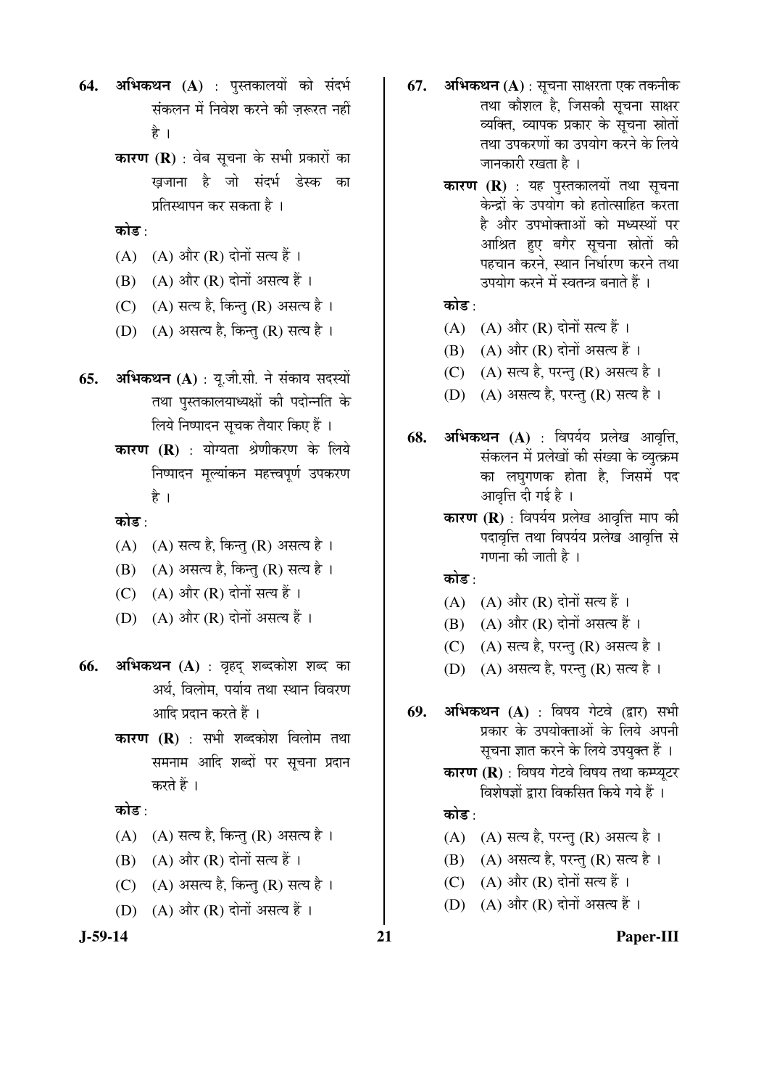- 64. अभिकथन (A) : पुस्तकालयों को संदर्भ संकलन में निवेश करने की जरूरत नहीं हे ।
	- **कारण (R)** : वेब सूचना के सभी प्रकारों का ख़जाना है जो संदर्भ डेस्क का प्रतिस्थापन कर सकता है ।

कोड :

- $(A)$   $(A)$  और  $(R)$  दोनों सत्य हैं।
- $(B)$   $(A)$  और  $(R)$  दोनों असत्य हैं।
- (C)  $(A)$  सत्य है, किन्तु (R) असत्य है।
- (D)  $(A)$  असत्य है, किन्तु (R) सत्य है।
- **65. अभिकथन (A)** : यू.जी.सी. ने संकाय सदस्यों तथा पुस्तकालयाध्यक्षों की पदोन्नति के लिये निष्पादन सुचक तैयार किए हैं ।
	- **कारण (R)** : योग्यता श्रेणीकरण के लिये निष्पादन मुल्यांकन महत्त्वपूर्ण उपकरण है ।

कोड :

- (A)  $(A)$  सत्य है, किन्तु (R) असत्य है।
- (B) (A) असत्य है, किन्तु (R) सत्य है।
- (C)  $(A)$  और  $(R)$  दोनों सत्य हैं।
- (D)  $(A)$  और  $(R)$  दोनों असत्य हैं।
- **66. अभिकथन (A)** : वृहद् शब्दकोश शब्द का अर्थ, विलोम, पर्याय तथा स्थान विवरण आदि प्रदान करते हैं ।
	- **कारण (R)** : सभी शब्दकोश विलोम तथा समनाम आदि शब्दों पर सूचना प्रदान करते हैं ।

कोड :

- (A)  $(A)$  सत्य है, किन्तु (R) असत्य है।
- $(B)$   $(A)$  और  $(R)$  दोनों सत्य हैं ।
- $(C)$   $(A)$  असत्य है, किन्त  $(R)$  सत्य है।
- (D)  $(A)$  और  $(R)$  दोनों असत्य हैं।

- **67. अभिकथन (A)** : सूचना साक्षरता एक तकनीक तथा कौशल है, जिसकी सूचना साक्षर व्यक्ति, व्यापक प्रकार के सूचना स्रोतों तथा उपकरणों का उपयोग करने के लिये जानकारी रखता है ।
	- **कारण (R)** : यह पुस्तकालयों तथा सूचना केन्द्रों के उपयोग को हतोत्साहित करता है और उपभोक्ताओं को मध्यस्थों पर आश्रित हुए बगैर सूचना स्रोतों की पहचान करने, स्थान निर्धारण करने तथा उपयोग करने में स्वतन्त्र बनाते हैं ।

## कोड :

- $(A)$   $(A)$  और  $(R)$  दोनों सत्य हैं।
- $(B)$   $(A)$  और  $(R)$  दोनों असत्य हैं।
- (C) (A) सत्य है, परन्तु (R) असत्य है।
- $(D)$   $(A)$  असत्य है, परन्तु  $(R)$  सत्य है।
- **68. अभिकथन (A)** : विपर्यय प्रलेख आवृत्ति, संकलन में प्रलेखों की संख्या के व्युत्क्रम का लघुगणक होता है, जिसमें पद आवृत्ति दी गई है ।
	- **कारण (R)** : विपर्यय प्रलेख आवृत्ति माप की पदावृत्ति तथा विपर्यय प्रलेख आवृत्ति से गणना की जाती है ।

कोड़<sup>.</sup>

- (A)  $(A)$  और (R) दोनों सत्य हैं।
- $(B)$   $(A)$  और  $(R)$  दोनों असत्य हैं।
- (C) (A) सत्य है, परन्तु (R) असत्य है।
- (D) (A) असत्य है, परन्तु (R) सत्य है।
- **69. अभिकथन (A)** : विषय गेटवे (द्वार) सभी प्रकार के उपयोक्ताओं के लिये अपनी सूचना ज्ञात करने के लिये उपयुक्त हैं ।
	- **कारण (R)** : विषय गेटवे विषय तथा कम्प्यटर विशेषज्ञों द्वारा विकसित किये गये हैं ।

## कोड<sup>़</sup>

- $(A)$   $(A)$  सत्य है, परन्तु  $(R)$  असत्य है ।
- $(B)$   $(A)$  असत्य है, परन्तु  $(R)$  सत्य है।
- (C)  $(A)$  और  $(R)$  दोनों सत्य हैं।
- (D)  $(A)$  और  $(R)$  दोनों असत्य हैं।

**J-59-14 21 Paper-III**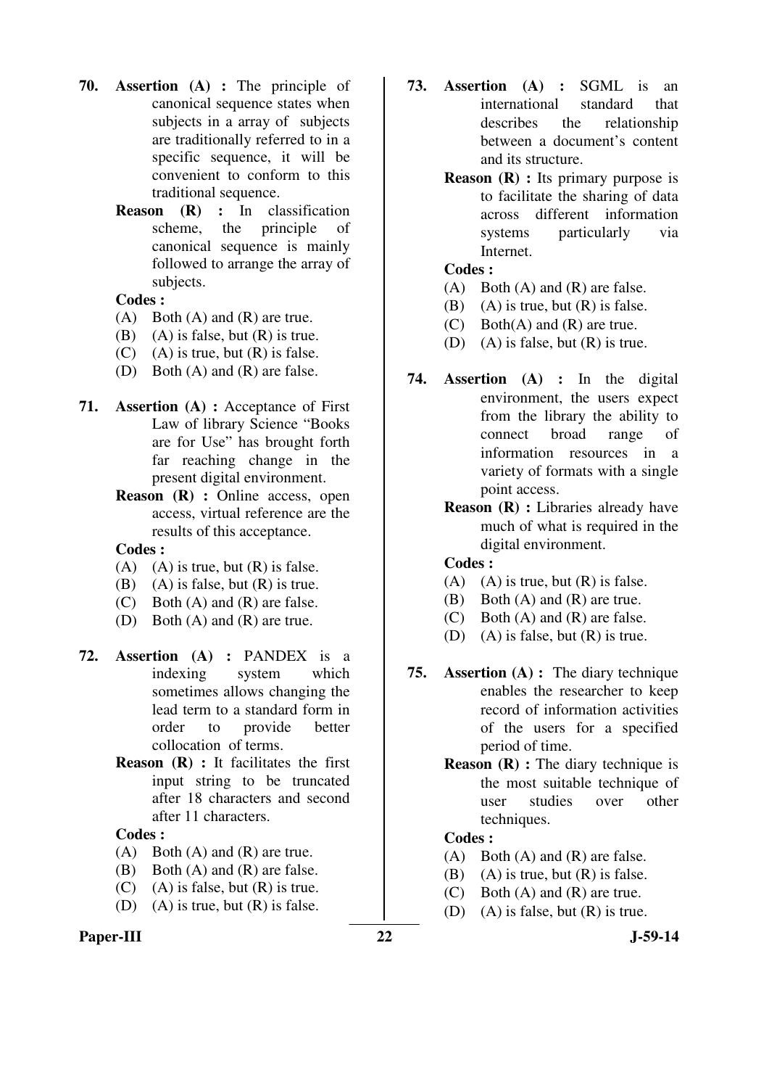- **70. Assertion (A) :** The principle of canonical sequence states when subjects in a array of subjects are traditionally referred to in a specific sequence, it will be convenient to conform to this traditional sequence.
	- **Reason (R) :** In classification scheme, the principle of canonical sequence is mainly followed to arrange the array of subjects.

- (A) Both (A) and (R) are true.
- (B) (A) is false, but  $(R)$  is true.
- $(C)$  (A) is true, but  $(R)$  is false.
- (D) Both (A) and (R) are false.
- **71. Assertion (A) :** Acceptance of First Law of library Science "Books are for Use" has brought forth far reaching change in the present digital environment.
	- **Reason (R) :** Online access, open access, virtual reference are the results of this acceptance.

#### **Codes :**

- (A) (A) is true, but  $(R)$  is false.
- (B) (A) is false, but  $(R)$  is true.
- (C) Both (A) and (R) are false.
- (D) Both (A) and (R) are true.
- **72. Assertion (A) :** PANDEX is a indexing system which sometimes allows changing the lead term to a standard form in order to provide better collocation of terms.
	- **Reason (R) :** It facilitates the first input string to be truncated after 18 characters and second after 11 characters.

## **Codes :**

- (A) Both (A) and (R) are true.
- (B) Both (A) and (R) are false.
- $(C)$  (A) is false, but  $(R)$  is true.
- (D) (A) is true, but  $(R)$  is false.

#### Paper-III 22 J-59-14

- **73. Assertion (A) :** SGML is an international standard that describes the relationship between a document's content and its structure.
	- **Reason** (**R**) : Its primary purpose is to facilitate the sharing of data across different information systems particularly via Internet.

## **Codes :**

- $(A)$  Both  $(A)$  and  $(R)$  are false.
- (B) (A) is true, but  $(R)$  is false.
- (C) Both(A) and (R) are true.
- (D) (A) is false, but (R) is true.
- **74. Assertion (A) :** In the digital environment, the users expect from the library the ability to connect broad range of information resources in a variety of formats with a single point access.
	- **Reason (R) :** Libraries already have much of what is required in the digital environment.

#### **Codes :**

- (A) (A) is true, but  $(R)$  is false.
- (B) Both (A) and (R) are true.
- (C) Both (A) and (R) are false.
- (D) (A) is false, but  $(R)$  is true.
- **75. Assertion (A) :** The diary technique enables the researcher to keep record of information activities of the users for a specified period of time.
	- **Reason (R) :** The diary technique is the most suitable technique of user studies over other techniques.

- (A) Both (A) and (R) are false.
- (B) (A) is true, but  $(R)$  is false.
- (C) Both (A) and (R) are true.
- (D) (A) is false, but  $(R)$  is true.
-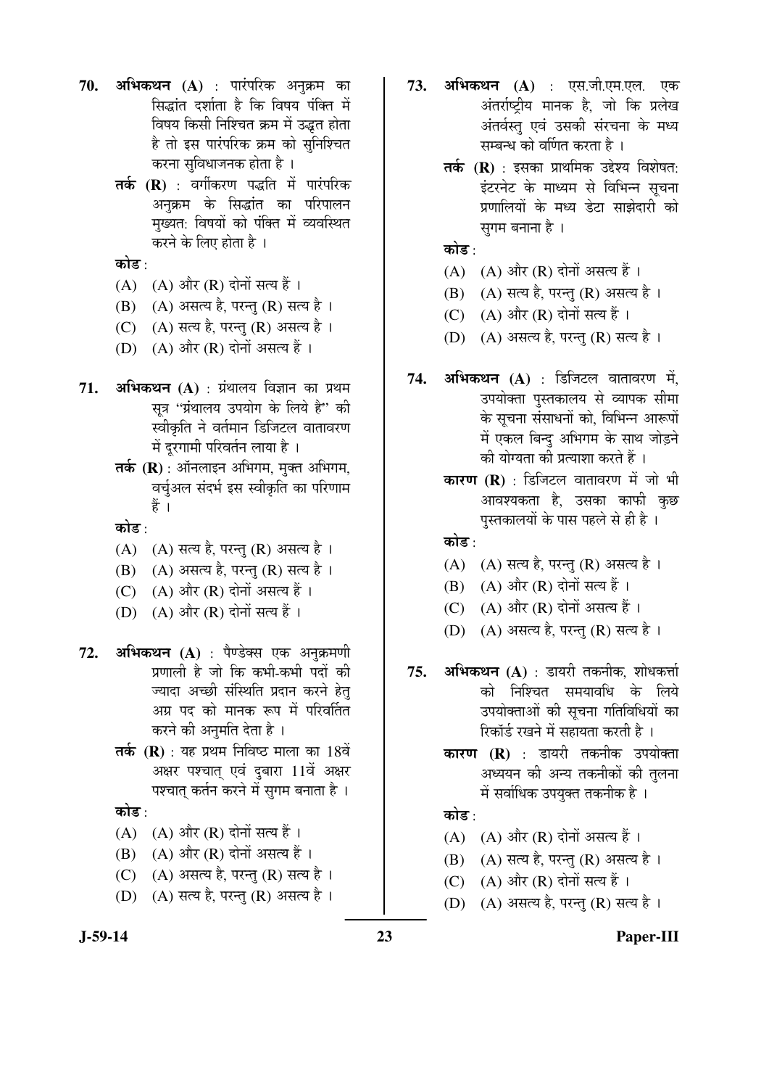- **70. अभिकथन (A)** : पारंपरिक अनुक्रम का सिद्धांत दर्शाता है कि विषय पंक्ति में विषय किसी निश्चित क्रम में उद्धत होता है तो इस पारंपरिक क्रम को सुनिश्चित करना सुविधाजनक होता है ।
	- तर्क (R) : वर्गीकरण पद्धति में पारंपरिक अनुक्रम के सिद्धांत का परिपालन मख्यत: विषयों को पंक्ति में व्यवस्थित करने के लिए होता है ।

कोड $\cdot$ 

- $(A)$   $(A)$  और  $(R)$  दोनों सत्य हैं।
- $(B)$   $(A)$  असत्य है, परन्तु  $(R)$  सत्य है।
- (C) (A) सत्य है, परन्तु (R) असत्य है।
- (D)  $(A)$  और  $(R)$  दोनों असत्य हैं।
- **71. अभिकथन (A)** : ग्रंथालय विज्ञान का प्रथम सूत्र "ग्रंथालय उपयोग के लिये है" की स्वीकृति ने वर्तमान डिजिटल वातावरण में दरगामी परिवर्तन लाया है ।
	- **तर्क (R)** : ऑनलाइन अभिगम, मुक्त अभिगम, वर्चअल संदर्भ इस स्वीकृति का परिणाम हें ।

कोड :

- $(A)$   $(A)$  सत्य है, परन्तु  $(R)$  असत्य है।
- $(B)$   $(A)$  असत्य है, परन्तु  $(R)$  सत्य है ।
- (C)  $(A)$  और  $(R)$  दोनों असत्य हैं।
- (D)  $(A)$  और  $(R)$  दोनों सत्य हैं ।
- **72. अभिकथन (A)** : पैण्डेक्स एक अनुक्रमणी प्रणाली है जो कि कभी-कभी पदों की <u>ज्यादा अच्छी संस्थिति प्रदान करने हेत</u> अग्र पद को मानक रूप में परिवर्तित करने की अनमति देता है ।
	- **तर्क (R)** : यह प्रथम निविष्ठ माला का 18वें अक्षर पश्चात् एवं दुबारा 11वें अक्षर पश्चात् कर्तन करने में सुगम बनाता है ।

कोड :

- $(A)$   $(A)$  और  $(R)$  दोनों सत्य हैं।
- $(B)$   $(A)$  और  $(R)$  दोनों असत्य हैं ।
- $(C)$   $(A)$  असत्य है, परन्तु  $(R)$  सत्य है ।
- (D)  $(A)$  सत्य है, परन्तु (R) असत्य है ।
- 73. अभिकथन (A) : एस.जी.एम.एल. एक अंतर्राष्ट्रीय मानक है, जो कि प्रलेख अंतर्वस्तु एवं उसकी संरचना के मध्य सम्बन्ध को वर्णित करता है ।
	- **तर्क (R)** : इसका प्राथमिक उद्देश्य विशेषत: इंटरनेट के माध्यम से विभिन्न सचना प्रणालियों के मध्य डेटा साझेदारी को सुगम बनाना है ।

कोड :

- $(A)$   $(A)$  और  $(R)$  दोनों असत्य हैं।
- (B) (A) सत्य है, परन्तु (R) असत्य है।
- (C)  $(A)$  और  $(R)$  दोनों सत्य हैं।
- $(D)$   $(A)$  असत्य है, परन्तु  $(R)$  सत्य है ।
- **74. अभिकथन (A)** : डिजिटल वातावरण में, उपयोक्ता पुस्तकालय से व्यापक सीमा के सूचना संसाधनों को, विभिन्न आरूपों में एकल बिन्दु अभिगम के साथ जोड़ने की योग्यता की प्रत्याशा करते हैं ।
	- **कारण (R)** : डिजिटल वातावरण में जो भी आवश्यकता है, उसका काफी कुछ पुस्तकालयों के पास पहले से ही है ।

कोड :

- $(A)$   $(A)$  सत्य है, परन्तु  $(R)$  असत्य है ।
- $(B)$   $(A)$  और  $(R)$  दोनों सत्य हैं ।
- $(C)$   $(A)$  और  $(R)$  दोनों असत्य हैं।
- $(D)$   $(A)$  असत्य है, परन्तु  $(R)$  सत्य है।
- **75. अभिकथन (A)** : डायरी तकनीक, शोधकर्त्ता को निश्चित समयावधि के लिये उपयोक्ताओं की सूचना गतिविधियों का रिकॉर्ड रखने में सहायता करती है।
	- **कारण (R)** : डायरी तकनीक उपयोक्ता अध्ययन की अन्य तकनीकों की तुलना में सर्वाधिक उपयुक्त तकनीक है ।

## कोड $\cdot$

- $(A)$   $(A)$  और  $(R)$  दोनों असत्य हैं।
- $(B)$   $(A)$  सत्य है, परन्तु  $(R)$  असत्य है।
- (C)  $(A)$  और  $(R)$  दोनों सत्य हैं ।
- $(D)$   $(A)$  असत्य है, परन्तु  $(R)$  सत्य है ।

#### **J-59-14 23 Paper-III**